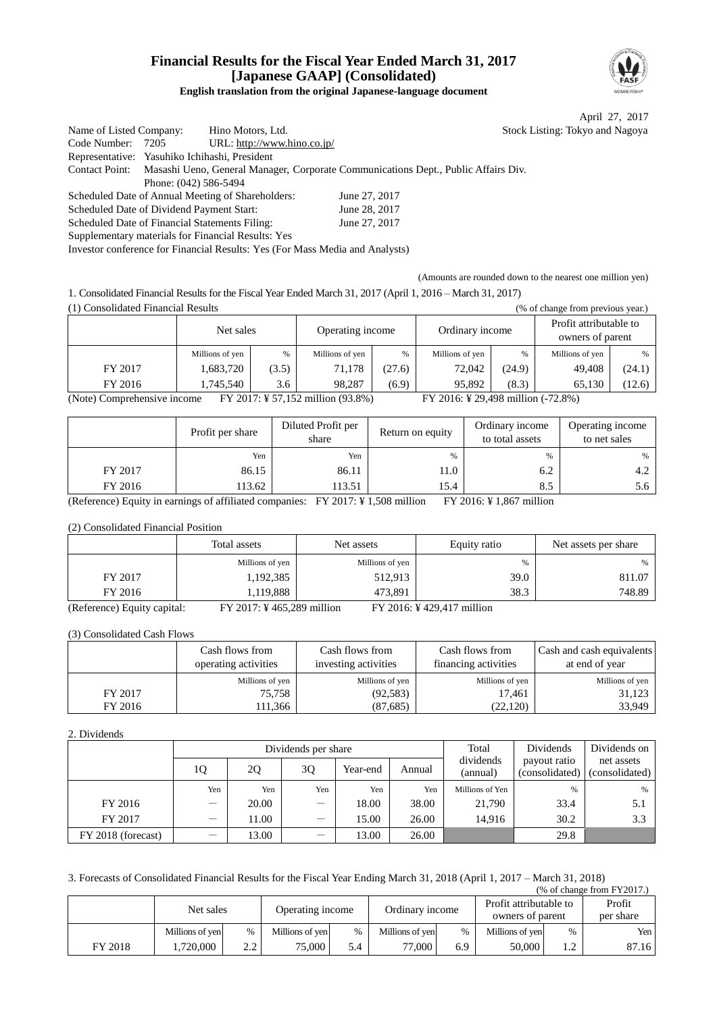### **Financial Results for the Fiscal Year Ended March 31, 2017 [Japanese GAAP] (Consolidated) English translation from the original Japanese-language document**



April 27, 2017 Listing: Tokyo and Nagoya:

| Name of Listed Company:                   |                       | Hino Motors, Ltd.                                                            | Stock                                                                              |
|-------------------------------------------|-----------------------|------------------------------------------------------------------------------|------------------------------------------------------------------------------------|
| Code Number:                              | 7205                  | URL: http://www.hino.co.jp/                                                  |                                                                                    |
|                                           |                       | Representative: Yasuhiko Ichihashi, President                                |                                                                                    |
| <b>Contact Point:</b>                     |                       |                                                                              | Masashi Ueno, General Manager, Corporate Communications Dept., Public Affairs Div. |
|                                           | Phone: (042) 586-5494 |                                                                              |                                                                                    |
|                                           |                       | Scheduled Date of Annual Meeting of Shareholders:                            | June 27, 2017                                                                      |
| Scheduled Date of Dividend Payment Start: |                       |                                                                              | June 28, 2017                                                                      |
|                                           |                       | Scheduled Date of Financial Statements Filing:                               | June 27, 2017                                                                      |
|                                           |                       | Supplementary materials for Financial Results: Yes                           |                                                                                    |
|                                           |                       | Investor conference for Financial Results: Yes (For Mass Media and Analysts) |                                                                                    |

(Amounts are rounded down to the nearest one million yen)

1. Consolidated Financial Results for the Fiscal Year Ended March 31, 2017 (April 1, 2016 – March 31, 2017) (1) Consolidated Financial Results (% of change from previous year.)

|                                                                                                        | 1) Consondated Financial Results<br>(% of change from previous year.) |               |                 |        |                 |        |                                            |        |  |  |  |  |
|--------------------------------------------------------------------------------------------------------|-----------------------------------------------------------------------|---------------|-----------------|--------|-----------------|--------|--------------------------------------------|--------|--|--|--|--|
|                                                                                                        | Operating income<br>Net sales                                         |               |                 |        | Ordinary income |        | Profit attributable to<br>owners of parent |        |  |  |  |  |
|                                                                                                        | Millions of yen                                                       | $\frac{0}{6}$ | Millions of yen | $\%$   | Millions of yen | %      | Millions of yen                            | $\%$   |  |  |  |  |
| FY 2017                                                                                                | 1,683,720                                                             | (3.5)         | 71,178          | (27.6) | 72,042          | (24.9) | 49.408                                     | (24.1) |  |  |  |  |
| FY 2016                                                                                                | 1.745.540                                                             | 3.6           | 98.287          | (6.9)  | 95.892          | (8.3)  | 65.130                                     | (12.6) |  |  |  |  |
| FY 2017: ¥ 57,152 million (93.8%)<br>FY 2016: ¥ 29,498 million (-72.8%)<br>(Note) Comprehensive income |                                                                       |               |                 |        |                 |        |                                            |        |  |  |  |  |

|         | Profit per share | Diluted Profit per<br>share | Return on equity | Ordinary income<br>to total assets | Operating income<br>to net sales |
|---------|------------------|-----------------------------|------------------|------------------------------------|----------------------------------|
|         | Yen              | Yen                         | $\frac{0}{0}$    | %                                  | $\%$                             |
| FY 2017 | 86.15            | 86.11                       | 11.0             | 6.2                                | 4.2                              |
| FY 2016 | 113.62           | 113.51                      | 15.4             | 8.5                                | 5.6                              |

(Reference) Equity in earnings of affiliated companies: FY 2017: ¥ 1,508 million FY 2016: ¥ 1,867 million

(2) Consolidated Financial Position

|                                                                                                                                                                                                                                                                                                                    | Total assets                         | Net assets      | Equity ratio | Net assets per share |
|--------------------------------------------------------------------------------------------------------------------------------------------------------------------------------------------------------------------------------------------------------------------------------------------------------------------|--------------------------------------|-----------------|--------------|----------------------|
|                                                                                                                                                                                                                                                                                                                    | Millions of yen                      | Millions of yen | %            | %                    |
| FY 2017                                                                                                                                                                                                                                                                                                            | 1,192,385                            | 512,913         | 39.0         | 811.07               |
| FY 2016                                                                                                                                                                                                                                                                                                            | 1,119,888                            | 473.891         | 38.3         | 748.89               |
| $\sqrt{D}$ $\sqrt{D}$ $\sqrt{D}$ $\sqrt{D}$ $\sqrt{D}$ $\sqrt{D}$ $\sqrt{D}$ $\sqrt{D}$ $\sqrt{D}$ $\sqrt{D}$ $\sqrt{D}$ $\sqrt{D}$ $\sqrt{D}$ $\sqrt{D}$ $\sqrt{D}$ $\sqrt{D}$ $\sqrt{D}$ $\sqrt{D}$ $\sqrt{D}$ $\sqrt{D}$ $\sqrt{D}$ $\sqrt{D}$ $\sqrt{D}$ $\sqrt{D}$ $\sqrt{D}$ $\sqrt{D}$ $\sqrt{D}$ $\sqrt{D$ | $\Gamma V$ 0017 $V$ 165,000 $\Gamma$ |                 |              |                      |

(Reference) Equity capital: FY 2017: ¥ 465,289 million FY 2016: ¥ 429,417 million

(3) Consolidated Cash Flows

|         | Cash flows from<br>operating activities | Cash flows from<br>investing activities | Cash flows from<br>financing activities | Cash and cash equivalents<br>at end of year |
|---------|-----------------------------------------|-----------------------------------------|-----------------------------------------|---------------------------------------------|
|         | Millions of yen                         | Millions of yen                         | Millions of yen                         | Millions of yen                             |
| FY 2017 | 75,758                                  | (92, 583)                               | 17.461                                  | 31,123                                      |
| FY 2016 | 111,366                                 | (87,685)                                | (22, 120)                               | 33,949                                      |

#### 2. Dividends

|                    |                          |       | Dividends per share |          | Total  | Dividends             | Dividends on                   |                              |
|--------------------|--------------------------|-------|---------------------|----------|--------|-----------------------|--------------------------------|------------------------------|
|                    | 10                       | 2Q    | 30                  | Year-end | Annual | dividends<br>(annual) | payout ratio<br>(consolidated) | net assets<br>(consolidated) |
|                    | Yen                      | Yen   | Yen                 | Yen      | Yen    | Millions of Yen       | $\%$                           | %                            |
| FY 2016            | $\overline{\phantom{0}}$ | 20.00 | —                   | 18.00    | 38.00  | 21,790                | 33.4                           | 5.1                          |
| FY 2017            | $\overline{\phantom{m}}$ | 11.00 | —                   | 15.00    | 26.00  | 14.916                | 30.2                           | 3.3                          |
| FY 2018 (forecast) | $\overline{\phantom{m}}$ | 13.00 |                     | 13.00    | 26.00  |                       | 29.8                           |                              |

3. Forecasts of Consolidated Financial Results for the Fiscal Year Ending March 31, 2018 (April 1, 2017 – March 31, 2018)  $(% \text{ of change from FY2017.})$ 

|         | Net sales       |                 | Operating income |               | Ordinary income |      | Profit attributable to<br>owners of parent |      | Profit<br>per share |
|---------|-----------------|-----------------|------------------|---------------|-----------------|------|--------------------------------------------|------|---------------------|
|         | Millions of yen | %               | Millions of yen  | $\frac{0}{0}$ | Millions of yen | $\%$ | Millions of yen                            | $\%$ | Yen                 |
| FY 2018 | .720.000        | $\Omega$<br>2.L | $75,000$ i       | 5.4           | 77,000          | 6.9  | 50,000                                     | 1.2  | 87.16               |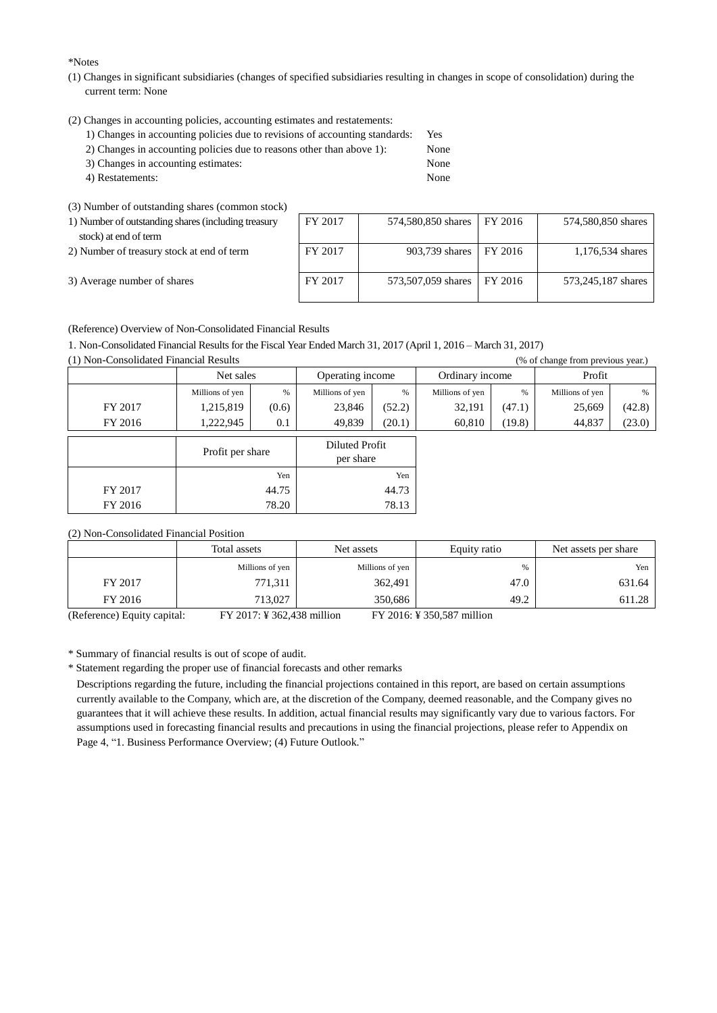\*Notes

- (1) Changes in significant subsidiaries (changes of specified subsidiaries resulting in changes in scope of consolidation) during the current term: None
- (2) Changes in accounting policies, accounting estimates and restatements:
	- 1) Changes in accounting policies due to revisions of accounting standards: Yes
	- 2) Changes in accounting policies due to reasons other than above 1): None
	- 3) Changes in accounting estimates: None 4) Restatements: None
	-

(3) Number of outstanding shares (common stock)

| 1) Number of outstanding shares (including treasury |  |
|-----------------------------------------------------|--|
| stock) at end of term                               |  |

|  | 3) Average number of shares |
|--|-----------------------------|

| 1) Number of outstanding shares (including treasury<br>stock) at end of term | FY 2017 | 574,580,850 shares FY 2016 |         | 574,580,850 shares |
|------------------------------------------------------------------------------|---------|----------------------------|---------|--------------------|
| 2) Number of treasury stock at end of term                                   | FY 2017 | 903,739 shares 1           | FY 2016 | 1,176,534 shares   |
| 3) Average number of shares                                                  | FY 2017 | 573,507,059 shares         | FY 2016 | 573,245,187 shares |

(Reference) Overview of Non-Consolidated Financial Results

1. Non-Consolidated Financial Results for the Fiscal Year Ended March 31, 2017 (April 1, 2016 – March 31, 2017)

(1) Non-Consolidated Financial Results (% of change from previous year.)

|         | Net sales        |       | Operating income            |        | Ordinary income |        | Profit          |        |
|---------|------------------|-------|-----------------------------|--------|-----------------|--------|-----------------|--------|
|         | Millions of yen  | %     | Millions of yen             | %      | Millions of yen | $\%$   | Millions of yen | %      |
| FY 2017 | 1,215,819        | (0.6) | 23,846                      | (52.2) | 32,191          | (47.1) | 25,669          | (42.8) |
| FY 2016 | 1,222,945        | 0.1   | 49,839                      | (20.1) | 60,810          | (19.8) | 44,837          | (23.0) |
|         | Profit per share |       | Diluted Profit<br>per share |        |                 |        |                 |        |
|         |                  | Yen   |                             | Yen    |                 |        |                 |        |
| FY 2017 |                  | 44.75 | 44.73                       |        |                 |        |                 |        |
| FY 2016 |                  | 78.20 |                             | 78.13  |                 |        |                 |        |

(2) Non-Consolidated Financial Position

|                                                                                                                                                                                                                                                                                                                    | Total assets                             | Net assets      | Equity ratio | Net assets per share |
|--------------------------------------------------------------------------------------------------------------------------------------------------------------------------------------------------------------------------------------------------------------------------------------------------------------------|------------------------------------------|-----------------|--------------|----------------------|
|                                                                                                                                                                                                                                                                                                                    | Millions of yen                          | Millions of yen | %            | Yen                  |
| FY 2017                                                                                                                                                                                                                                                                                                            | 771,311                                  | 362,491         | 47.0         | 631.64               |
| FY 2016                                                                                                                                                                                                                                                                                                            | 713,027                                  | 350.686         | 49.2         | 611.28               |
| $\sqrt{D}$ $\sqrt{D}$ $\sqrt{D}$ $\sqrt{D}$ $\sqrt{D}$ $\sqrt{D}$ $\sqrt{D}$ $\sqrt{D}$ $\sqrt{D}$ $\sqrt{D}$ $\sqrt{D}$ $\sqrt{D}$ $\sqrt{D}$ $\sqrt{D}$ $\sqrt{D}$ $\sqrt{D}$ $\sqrt{D}$ $\sqrt{D}$ $\sqrt{D}$ $\sqrt{D}$ $\sqrt{D}$ $\sqrt{D}$ $\sqrt{D}$ $\sqrt{D}$ $\sqrt{D}$ $\sqrt{D}$ $\sqrt{D}$ $\sqrt{D$ | $\Gamma V \Omega 017 V \Omega 60 120 11$ |                 |              |                      |

(Reference) Equity capital: FY 2017: ¥ 362,438 million FY 2016: ¥ 350,587 million

\* Summary of financial results is out of scope of audit.

\* Statement regarding the proper use of financial forecasts and other remarks

Descriptions regarding the future, including the financial projections contained in this report, are based on certain assumptions currently available to the Company, which are, at the discretion of the Company, deemed reasonable, and the Company gives no guarantees that it will achieve these results. In addition, actual financial results may significantly vary due to various factors. For assumptions used in forecasting financial results and precautions in using the financial projections, please refer to Appendix on Page 4, "1. Business Performance Overview; (4) Future Outlook."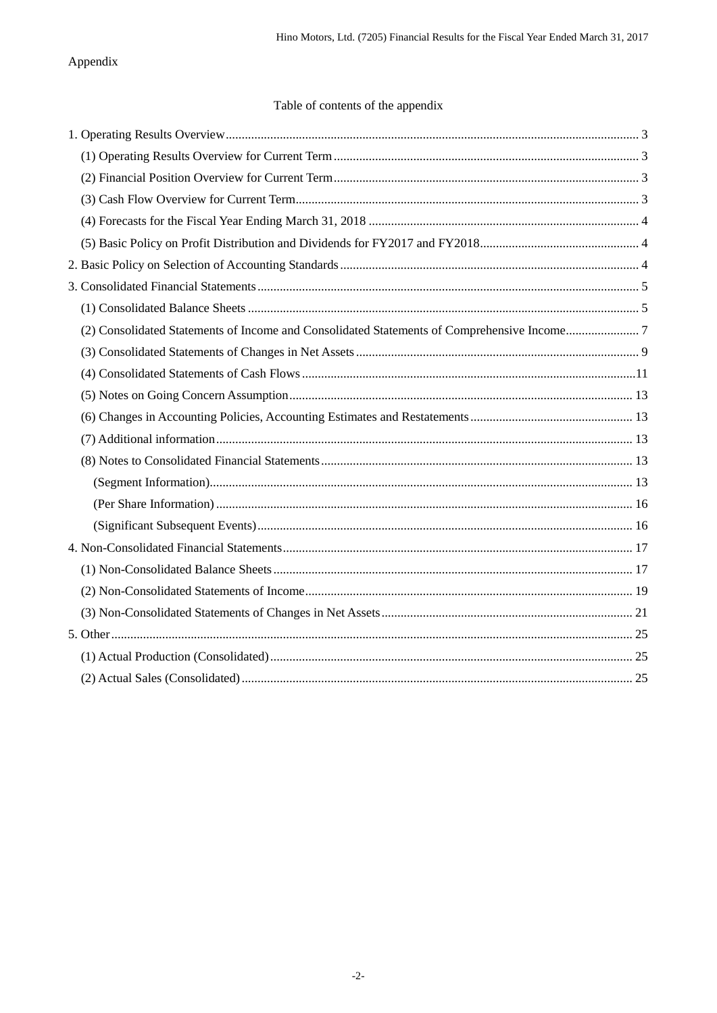## Appendix

## Table of contents of the appendix

| (2) Consolidated Statements of Income and Consolidated Statements of Comprehensive Income7 |  |
|--------------------------------------------------------------------------------------------|--|
|                                                                                            |  |
|                                                                                            |  |
|                                                                                            |  |
|                                                                                            |  |
|                                                                                            |  |
|                                                                                            |  |
|                                                                                            |  |
|                                                                                            |  |
|                                                                                            |  |
|                                                                                            |  |
|                                                                                            |  |
|                                                                                            |  |
|                                                                                            |  |
|                                                                                            |  |
|                                                                                            |  |
|                                                                                            |  |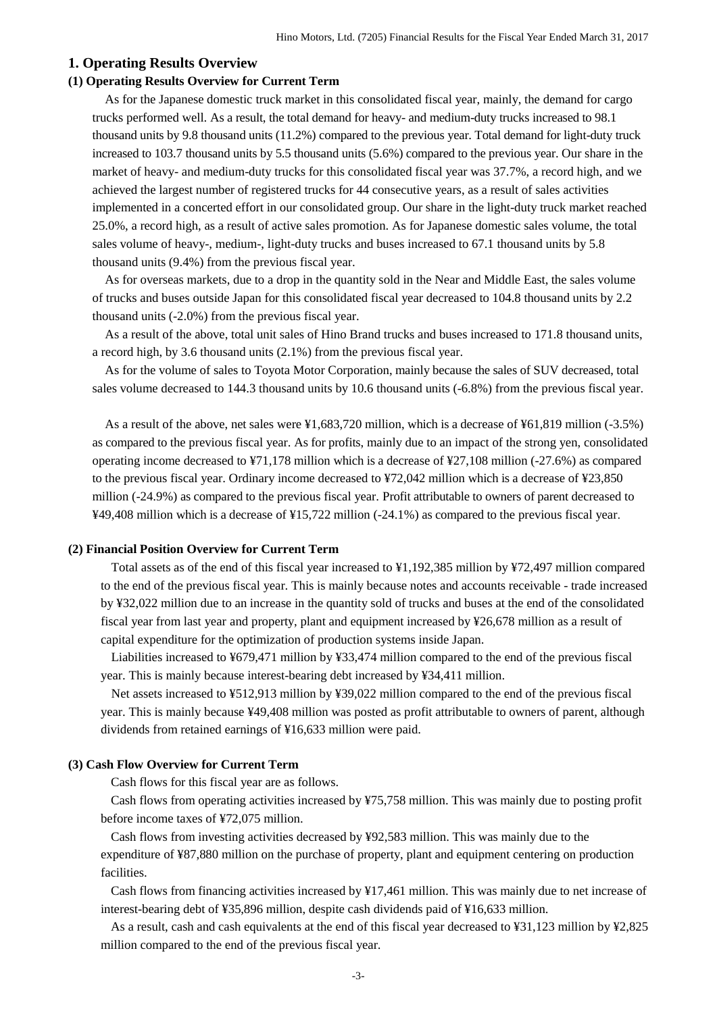### <span id="page-3-0"></span>**1. Operating Results Overview**

### <span id="page-3-1"></span>**(1) Operating Results Overview for Current Term**

As for the Japanese domestic truck market in this consolidated fiscal year, mainly, the demand for cargo trucks performed well. As a result, the total demand for heavy- and medium-duty trucks increased to 98.1 thousand units by 9.8 thousand units (11.2%) compared to the previous year. Total demand for light-duty truck increased to 103.7 thousand units by 5.5 thousand units (5.6%) compared to the previous year. Our share in the market of heavy- and medium-duty trucks for this consolidated fiscal year was 37.7%, a record high, and we achieved the largest number of registered trucks for 44 consecutive years, as a result of sales activities implemented in a concerted effort in our consolidated group. Our share in the light-duty truck market reached 25.0%, a record high, as a result of active sales promotion. As for Japanese domestic sales volume, the total sales volume of heavy-, medium-, light-duty trucks and buses increased to 67.1 thousand units by 5.8 thousand units (9.4%) from the previous fiscal year.

As for overseas markets, due to a drop in the quantity sold in the Near and Middle East, the sales volume of trucks and buses outside Japan for this consolidated fiscal year decreased to 104.8 thousand units by 2.2 thousand units (-2.0%) from the previous fiscal year.

As a result of the above, total unit sales of Hino Brand trucks and buses increased to 171.8 thousand units, a record high, by 3.6 thousand units (2.1%) from the previous fiscal year.

As for the volume of sales to Toyota Motor Corporation, mainly because the sales of SUV decreased, total sales volume decreased to 144.3 thousand units by 10.6 thousand units (-6.8%) from the previous fiscal year.

As a result of the above, net sales were ¥1,683,720 million, which is a decrease of ¥61,819 million (-3.5%) as compared to the previous fiscal year. As for profits, mainly due to an impact of the strong yen, consolidated operating income decreased to ¥71,178 million which is a decrease of ¥27,108 million (-27.6%) as compared to the previous fiscal year. Ordinary income decreased to ¥72,042 million which is a decrease of ¥23,850 million (-24.9%) as compared to the previous fiscal year. Profit attributable to owners of parent decreased to ¥49,408 million which is a decrease of ¥15,722 million (-24.1%) as compared to the previous fiscal year.

#### <span id="page-3-2"></span>**(2) Financial Position Overview for Current Term**

Total assets as of the end of this fiscal year increased to ¥1,192,385 million by ¥72,497 million compared to the end of the previous fiscal year. This is mainly because notes and accounts receivable - trade increased by ¥32,022 million due to an increase in the quantity sold of trucks and buses at the end of the consolidated fiscal year from last year and property, plant and equipment increased by ¥26,678 million as a result of capital expenditure for the optimization of production systems inside Japan.

Liabilities increased to ¥679,471 million by ¥33,474 million compared to the end of the previous fiscal year. This is mainly because interest-bearing debt increased by ¥34,411 million.

Net assets increased to ¥512,913 million by ¥39,022 million compared to the end of the previous fiscal year. This is mainly because ¥49,408 million was posted as profit attributable to owners of parent, although dividends from retained earnings of ¥16,633 million were paid.

#### <span id="page-3-3"></span>**(3) Cash Flow Overview for Current Term**

Cash flows for this fiscal year are as follows.

Cash flows from operating activities increased by ¥75,758 million. This was mainly due to posting profit before income taxes of ¥72,075 million.

Cash flows from investing activities decreased by ¥92,583 million. This was mainly due to the expenditure of ¥87,880 million on the purchase of property, plant and equipment centering on production facilities.

Cash flows from financing activities increased by ¥17,461 million. This was mainly due to net increase of interest-bearing debt of ¥35,896 million, despite cash dividends paid of ¥16,633 million.

As a result, cash and cash equivalents at the end of this fiscal year decreased to ¥31,123 million by ¥2,825 million compared to the end of the previous fiscal year.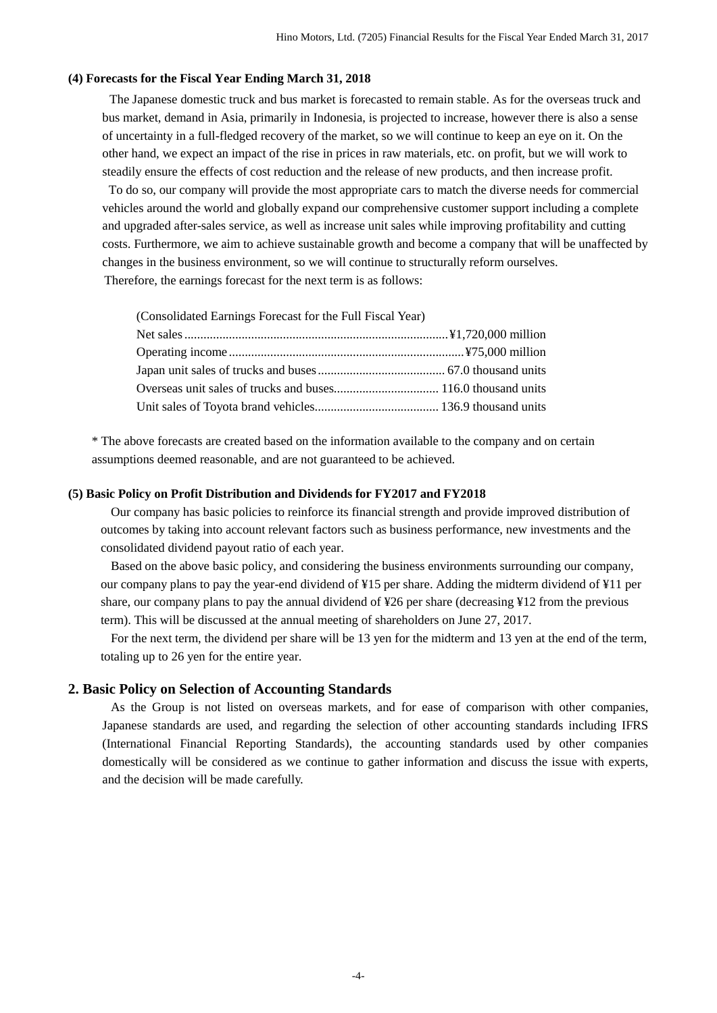#### <span id="page-4-0"></span>**(4) Forecasts for the Fiscal Year Ending March 31, 2018**

The Japanese domestic truck and bus market is forecasted to remain stable. As for the overseas truck and bus market, demand in Asia, primarily in Indonesia, is projected to increase, however there is also a sense of uncertainty in a full-fledged recovery of the market, so we will continue to keep an eye on it. On the other hand, we expect an impact of the rise in prices in raw materials, etc. on profit, but we will work to steadily ensure the effects of cost reduction and the release of new products, and then increase profit.

To do so, our company will provide the most appropriate cars to match the diverse needs for commercial vehicles around the world and globally expand our comprehensive customer support including a complete and upgraded after-sales service, as well as increase unit sales while improving profitability and cutting costs. Furthermore, we aim to achieve sustainable growth and become a company that will be unaffected by changes in the business environment, so we will continue to structurally reform ourselves. Therefore, the earnings forecast for the next term is as follows:

(Consolidated Earnings Forecast for the Full Fiscal Year)

\* The above forecasts are created based on the information available to the company and on certain assumptions deemed reasonable, and are not guaranteed to be achieved.

### <span id="page-4-1"></span>**(5) Basic Policy on Profit Distribution and Dividends for FY2017 and FY2018**

Our company has basic policies to reinforce its financial strength and provide improved distribution of outcomes by taking into account relevant factors such as business performance, new investments and the consolidated dividend payout ratio of each year.

Based on the above basic policy, and considering the business environments surrounding our company, our company plans to pay the year-end dividend of ¥15 per share. Adding the midterm dividend of ¥11 per share, our company plans to pay the annual dividend of  $\frac{26}{6}$  per share (decreasing  $\frac{12}{6}$  from the previous term). This will be discussed at the annual meeting of shareholders on June 27, 2017.

For the next term, the dividend per share will be 13 yen for the midterm and 13 yen at the end of the term, totaling up to 26 yen for the entire year.

#### <span id="page-4-2"></span>**2. Basic Policy on Selection of Accounting Standards**

As the Group is not listed on overseas markets, and for ease of comparison with other companies, Japanese standards are used, and regarding the selection of other accounting standards including IFRS (International Financial Reporting Standards), the accounting standards used by other companies domestically will be considered as we continue to gather information and discuss the issue with experts, and the decision will be made carefully.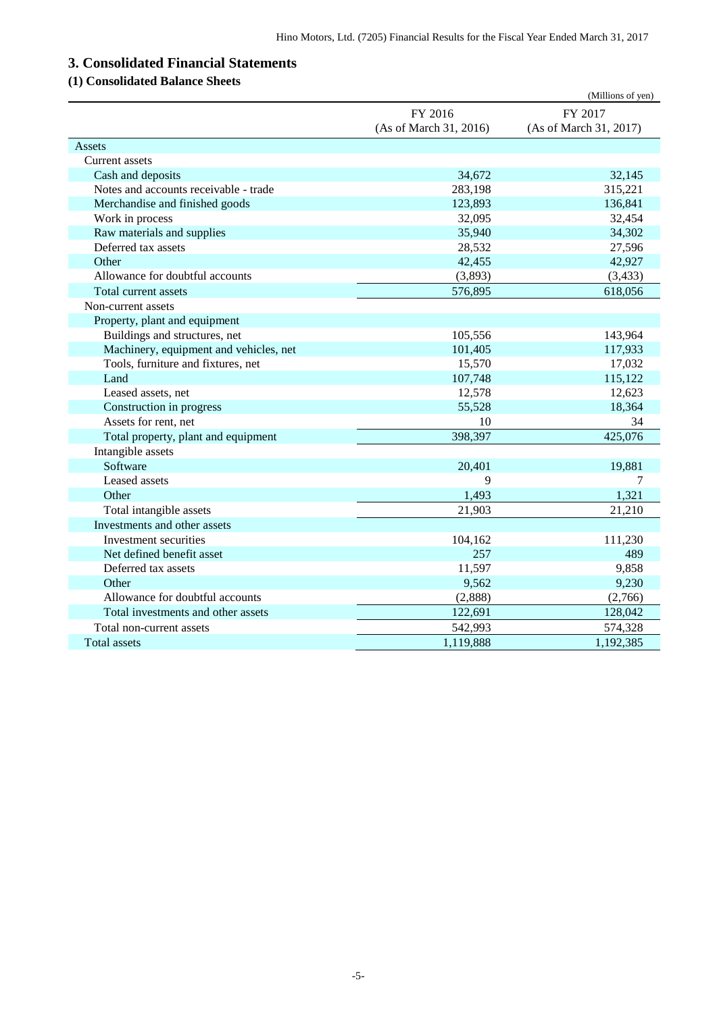# <span id="page-5-0"></span>**3. Consolidated Financial Statements**

## <span id="page-5-1"></span>**(1) Consolidated Balance Sheets**

|                                        |                        | (Millions of yen)      |
|----------------------------------------|------------------------|------------------------|
|                                        | FY 2016                | FY 2017                |
|                                        | (As of March 31, 2016) | (As of March 31, 2017) |
| Assets                                 |                        |                        |
| Current assets                         |                        |                        |
| Cash and deposits                      | 34,672                 | 32,145                 |
| Notes and accounts receivable - trade  | 283,198                | 315,221                |
| Merchandise and finished goods         | 123,893                | 136,841                |
| Work in process                        | 32,095                 | 32,454                 |
| Raw materials and supplies             | 35,940                 | 34,302                 |
| Deferred tax assets                    | 28,532                 | 27,596                 |
| Other                                  | 42,455                 | 42,927                 |
| Allowance for doubtful accounts        | (3,893)                | (3, 433)               |
| Total current assets                   | 576,895                | 618,056                |
| Non-current assets                     |                        |                        |
| Property, plant and equipment          |                        |                        |
| Buildings and structures, net          | 105,556                | 143,964                |
| Machinery, equipment and vehicles, net | 101,405                | 117,933                |
| Tools, furniture and fixtures, net     | 15,570                 | 17,032                 |
| Land                                   | 107,748                | 115,122                |
| Leased assets, net                     | 12,578                 | 12,623                 |
| Construction in progress               | 55,528                 | 18,364                 |
| Assets for rent, net                   | 10                     | 34                     |
| Total property, plant and equipment    | 398,397                | 425,076                |
| Intangible assets                      |                        |                        |
| Software                               | 20,401                 | 19,881                 |
| Leased assets                          | 9                      | 7                      |
| Other                                  | 1,493                  | 1,321                  |
| Total intangible assets                | 21,903                 | 21,210                 |
| Investments and other assets           |                        |                        |
| Investment securities                  | 104,162                | 111,230                |
| Net defined benefit asset              | 257                    | 489                    |
| Deferred tax assets                    | 11,597                 | 9,858                  |
| Other                                  | 9,562                  | 9,230                  |
| Allowance for doubtful accounts        | (2,888)                | (2,766)                |
| Total investments and other assets     | 122,691                | 128,042                |
| Total non-current assets               | 542,993                | 574,328                |
| <b>Total assets</b>                    | 1,119,888              | 1,192,385              |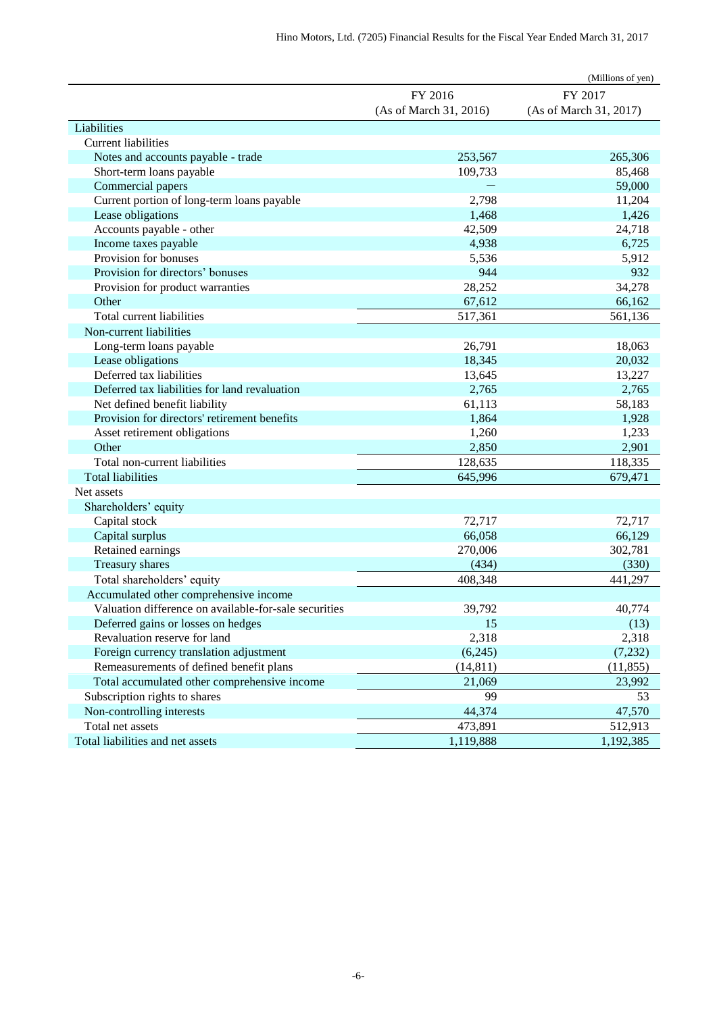|                                                       |                        | (Millions of yen)      |
|-------------------------------------------------------|------------------------|------------------------|
|                                                       | FY 2016                | FY 2017                |
|                                                       | (As of March 31, 2016) | (As of March 31, 2017) |
| Liabilities                                           |                        |                        |
| <b>Current liabilities</b>                            |                        |                        |
| Notes and accounts payable - trade                    | 253,567                | 265,306                |
| Short-term loans payable                              | 109,733                | 85,468                 |
| Commercial papers                                     |                        | 59,000                 |
| Current portion of long-term loans payable            | 2,798                  | 11,204                 |
| Lease obligations                                     | 1,468                  | 1,426                  |
| Accounts payable - other                              | 42,509                 | 24,718                 |
| Income taxes payable                                  | 4,938                  | 6,725                  |
| Provision for bonuses                                 | 5,536                  | 5,912                  |
| Provision for directors' bonuses                      | 944                    | 932                    |
| Provision for product warranties                      | 28,252                 | 34,278                 |
| Other                                                 | 67,612                 | 66,162                 |
| Total current liabilities                             | 517,361                | 561,136                |
| Non-current liabilities                               |                        |                        |
| Long-term loans payable                               | 26,791                 | 18,063                 |
| Lease obligations                                     | 18,345                 | 20,032                 |
| Deferred tax liabilities                              | 13,645                 | 13,227                 |
| Deferred tax liabilities for land revaluation         | 2,765                  | 2,765                  |
| Net defined benefit liability                         | 61,113                 | 58,183                 |
| Provision for directors' retirement benefits          | 1,864                  | 1,928                  |
| Asset retirement obligations                          | 1,260                  | 1,233                  |
| Other                                                 | 2,850                  | 2,901                  |
| Total non-current liabilities                         | 128,635                | 118,335                |
| <b>Total liabilities</b>                              | 645,996                | 679,471                |
| Net assets                                            |                        |                        |
| Shareholders' equity                                  |                        |                        |
| Capital stock                                         | 72,717                 | 72,717                 |
| Capital surplus                                       | 66,058                 | 66,129                 |
| Retained earnings                                     | 270,006                | 302,781                |
| Treasury shares                                       | (434)                  | (330)                  |
| Total shareholders' equity                            | 408,348                | 441,297                |
| Accumulated other comprehensive income                |                        |                        |
| Valuation difference on available-for-sale securities | 39,792                 | 40,774                 |
| Deferred gains or losses on hedges                    | 15                     | (13)                   |
| Revaluation reserve for land                          | 2,318                  | 2,318                  |
| Foreign currency translation adjustment               | (6,245)                | (7,232)                |
| Remeasurements of defined benefit plans               | (14, 811)              | (11, 855)              |
| Total accumulated other comprehensive income          | 21,069                 | 23,992                 |
| Subscription rights to shares                         | 99                     | 53                     |
| Non-controlling interests                             | 44,374                 | 47,570                 |
| Total net assets                                      | 473,891                | 512,913                |
| Total liabilities and net assets                      | 1,119,888              | 1,192,385              |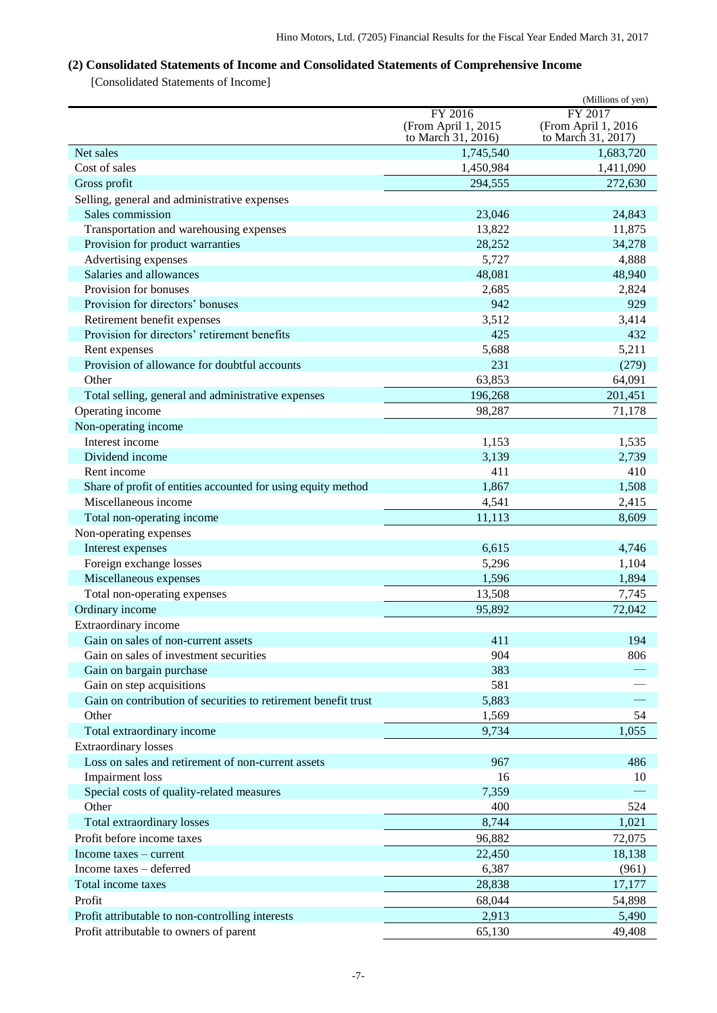## <span id="page-7-0"></span>**(2) Consolidated Statements of Income and Consolidated Statements of Comprehensive Income**

[Consolidated Statements of Income]

|                                                                |                        | (Millions of yen)   |
|----------------------------------------------------------------|------------------------|---------------------|
|                                                                | FY 2016                | FY 2017             |
|                                                                | (From April 1, 2015    | (From April 1, 2016 |
|                                                                | to March 31, 2016)     | to March 31, 2017)  |
| Net sales<br>Cost of sales                                     | 1,745,540<br>1,450,984 | 1,683,720           |
|                                                                |                        | 1,411,090           |
| Gross profit                                                   | 294,555                | 272,630             |
| Selling, general and administrative expenses                   |                        |                     |
| Sales commission                                               | 23,046<br>13,822       | 24,843              |
| Transportation and warehousing expenses                        | 28,252                 | 11,875<br>34,278    |
| Provision for product warranties<br>Advertising expenses       | 5,727                  | 4,888               |
| Salaries and allowances                                        | 48,081                 | 48,940              |
| Provision for bonuses                                          | 2,685                  | 2,824               |
| Provision for directors' bonuses                               | 942                    | 929                 |
| Retirement benefit expenses                                    | 3,512                  | 3,414               |
| Provision for directors' retirement benefits                   | 425                    | 432                 |
| Rent expenses                                                  | 5,688                  | 5,211               |
| Provision of allowance for doubtful accounts                   | 231                    | (279)               |
| Other                                                          | 63,853                 | 64,091              |
| Total selling, general and administrative expenses             | 196,268                | 201,451             |
| Operating income                                               | 98,287                 | 71,178              |
| Non-operating income                                           |                        |                     |
| Interest income                                                | 1,153                  | 1,535               |
| Dividend income                                                | 3,139                  | 2,739               |
| Rent income                                                    | 411                    | 410                 |
| Share of profit of entities accounted for using equity method  | 1,867                  | 1,508               |
| Miscellaneous income                                           | 4,541                  | 2,415               |
| Total non-operating income                                     | 11,113                 | 8,609               |
| Non-operating expenses                                         |                        |                     |
| Interest expenses                                              | 6,615                  | 4,746               |
| Foreign exchange losses                                        | 5,296                  | 1,104               |
| Miscellaneous expenses                                         | 1,596                  | 1,894               |
| Total non-operating expenses                                   | 13,508                 | 7,745               |
| Ordinary income                                                | 95,892                 | 72,042              |
| Extraordinary income                                           |                        |                     |
| Gain on sales of non-current assets                            | 411                    | 194                 |
| Gain on sales of investment securities                         | 904                    | 806                 |
| Gain on bargain purchase                                       | 383                    |                     |
| Gain on step acquisitions                                      | 581                    |                     |
| Gain on contribution of securities to retirement benefit trust | 5,883                  |                     |
| Other                                                          | 1,569                  | 54                  |
| Total extraordinary income                                     | 9,734                  | 1,055               |
| <b>Extraordinary losses</b>                                    |                        |                     |
| Loss on sales and retirement of non-current assets             | 967                    | 486                 |
| Impairment loss                                                | 16                     | 10                  |
| Special costs of quality-related measures                      | 7,359                  |                     |
| Other                                                          | 400                    | 524                 |
| Total extraordinary losses                                     | 8,744                  | 1,021               |
| Profit before income taxes                                     | 96,882                 | 72,075              |
| Income taxes – current                                         | 22,450                 | 18,138              |
| Income taxes – deferred                                        | 6,387                  | (961)               |
| Total income taxes                                             | 28,838                 | 17,177              |
| Profit                                                         | 68,044                 | 54,898              |
| Profit attributable to non-controlling interests               | 2,913                  | 5,490               |
| Profit attributable to owners of parent                        | 65,130                 | 49,408              |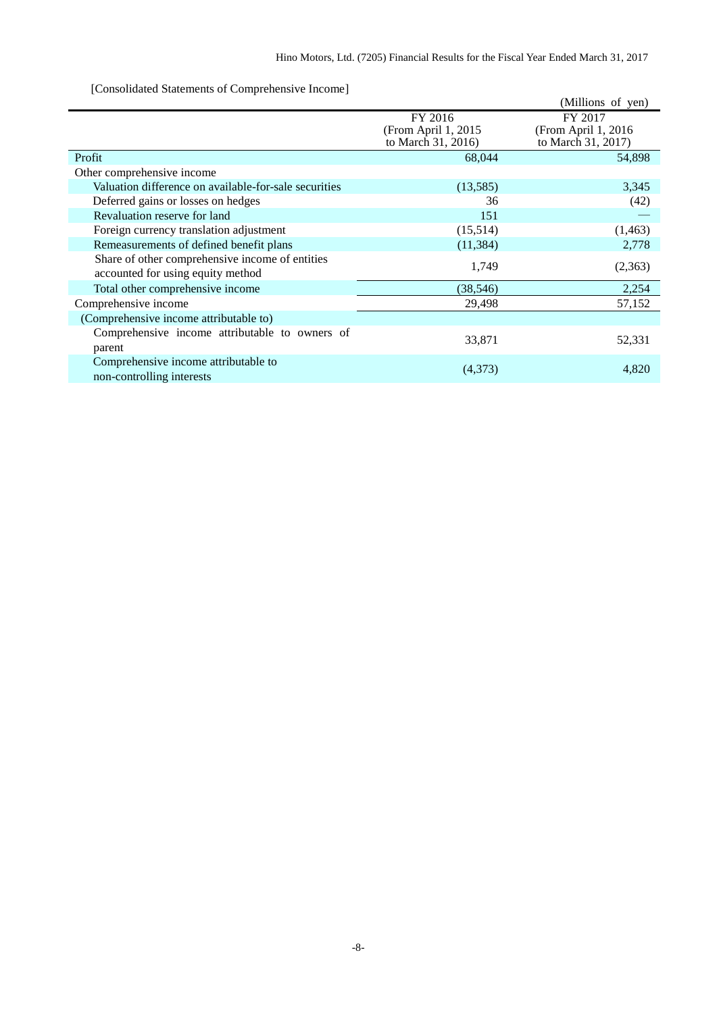[Consolidated Statements of Comprehensive Income]

| $\sim$ consolidated building of comprehensive income                                 |                                                      | (Millions of yen)                                     |
|--------------------------------------------------------------------------------------|------------------------------------------------------|-------------------------------------------------------|
|                                                                                      | FY 2016<br>(From April 1, 2015<br>to March 31, 2016) | FY 2017<br>(From April 1, 2016)<br>to March 31, 2017) |
| Profit                                                                               | 68,044                                               | 54,898                                                |
| Other comprehensive income                                                           |                                                      |                                                       |
| Valuation difference on available-for-sale securities                                | (13,585)                                             | 3,345                                                 |
| Deferred gains or losses on hedges                                                   | 36                                                   | (42)                                                  |
| Revaluation reserve for land                                                         | 151                                                  |                                                       |
| Foreign currency translation adjustment                                              | (15,514)                                             | (1,463)                                               |
| Remeasurements of defined benefit plans                                              | (11, 384)                                            | 2,778                                                 |
| Share of other comprehensive income of entities<br>accounted for using equity method | 1,749                                                | (2,363)                                               |
| Total other comprehensive income                                                     | (38, 546)                                            | 2,254                                                 |
| Comprehensive income                                                                 | 29,498                                               | 57,152                                                |
| (Comprehensive income attributable to)                                               |                                                      |                                                       |
| Comprehensive income attributable to owners of<br>parent                             | 33,871                                               | 52,331                                                |
| Comprehensive income attributable to<br>non-controlling interests                    | (4,373)                                              | 4,820                                                 |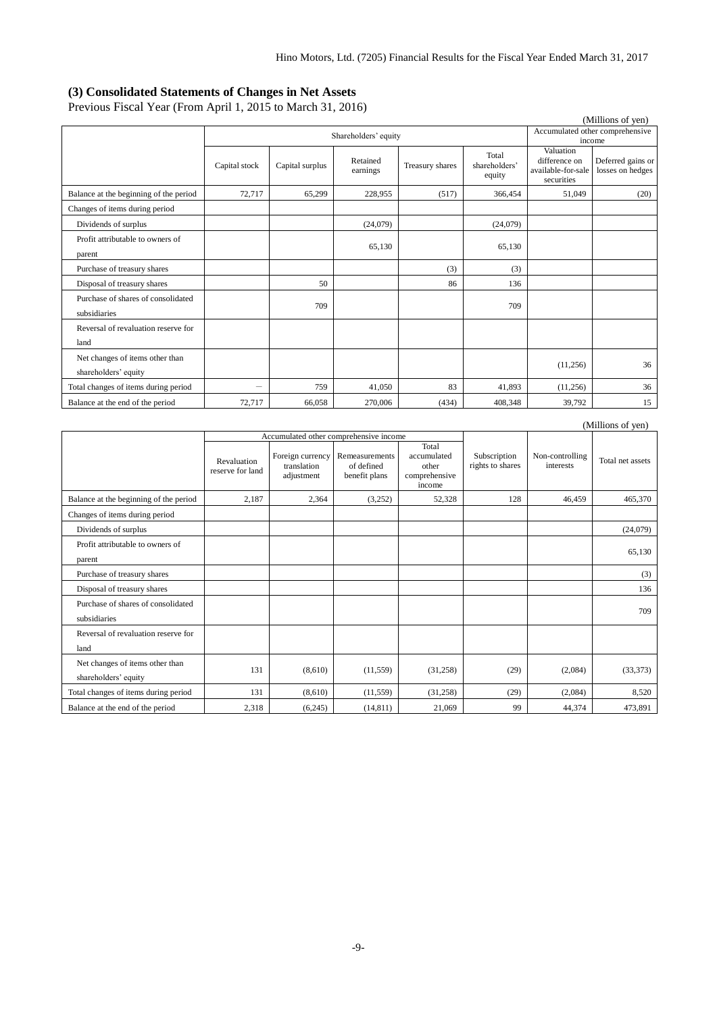#### <span id="page-9-0"></span>**(3) Consolidated Statements of Changes in Net Assets**

Previous Fiscal Year (From April 1, 2015 to March 31, 2016)

| (Millions of yen)                                       |                          |                      |                      |                 |                                  |                                                                |                                           |  |
|---------------------------------------------------------|--------------------------|----------------------|----------------------|-----------------|----------------------------------|----------------------------------------------------------------|-------------------------------------------|--|
|                                                         |                          | Shareholders' equity |                      |                 |                                  |                                                                | Accumulated other comprehensive<br>income |  |
|                                                         | Capital stock            | Capital surplus      | Retained<br>earnings | Treasury shares | Total<br>shareholders'<br>equity | Valuation<br>difference on<br>available-for-sale<br>securities | Deferred gains or<br>losses on hedges     |  |
| Balance at the beginning of the period                  | 72,717                   | 65,299               | 228,955              | (517)           | 366,454                          | 51,049                                                         | (20)                                      |  |
| Changes of items during period                          |                          |                      |                      |                 |                                  |                                                                |                                           |  |
| Dividends of surplus                                    |                          |                      | (24,079)             |                 | (24,079)                         |                                                                |                                           |  |
| Profit attributable to owners of<br>parent              |                          |                      | 65,130               |                 | 65,130                           |                                                                |                                           |  |
| Purchase of treasury shares                             |                          |                      |                      | (3)             | (3)                              |                                                                |                                           |  |
| Disposal of treasury shares                             |                          | 50                   |                      | 86              | 136                              |                                                                |                                           |  |
| Purchase of shares of consolidated<br>subsidiaries      |                          | 709                  |                      |                 | 709                              |                                                                |                                           |  |
| Reversal of revaluation reserve for<br>land             |                          |                      |                      |                 |                                  |                                                                |                                           |  |
| Net changes of items other than<br>shareholders' equity |                          |                      |                      |                 |                                  | (11,256)                                                       | 36                                        |  |
| Total changes of items during period                    | $\overline{\phantom{0}}$ | 759                  | 41,050               | 83              | 41.893                           | (11,256)                                                       | 36                                        |  |
| Balance at the end of the period                        | 72,717                   | 66,058               | 270,006              | (434)           | 408,348                          | 39,792                                                         | 15                                        |  |

|                                                         |                                 |                                               |                                               |                                                          |                                  |                              | (Millions of yen) |
|---------------------------------------------------------|---------------------------------|-----------------------------------------------|-----------------------------------------------|----------------------------------------------------------|----------------------------------|------------------------------|-------------------|
|                                                         |                                 |                                               | Accumulated other comprehensive income        |                                                          |                                  |                              |                   |
|                                                         | Revaluation<br>reserve for land | Foreign currency<br>translation<br>adjustment | Remeasurements<br>of defined<br>benefit plans | Total<br>accumulated<br>other<br>comprehensive<br>income | Subscription<br>rights to shares | Non-controlling<br>interests | Total net assets  |
| Balance at the beginning of the period                  | 2,187                           | 2,364                                         | (3,252)                                       | 52,328                                                   | 128                              | 46.459                       | 465,370           |
| Changes of items during period                          |                                 |                                               |                                               |                                                          |                                  |                              |                   |
| Dividends of surplus                                    |                                 |                                               |                                               |                                                          |                                  |                              | (24,079)          |
| Profit attributable to owners of<br>parent              |                                 |                                               |                                               |                                                          |                                  |                              | 65,130            |
| Purchase of treasury shares                             |                                 |                                               |                                               |                                                          |                                  |                              | (3)               |
| Disposal of treasury shares                             |                                 |                                               |                                               |                                                          |                                  |                              | 136               |
| Purchase of shares of consolidated<br>subsidiaries      |                                 |                                               |                                               |                                                          |                                  |                              | 709               |
| Reversal of revaluation reserve for<br>land             |                                 |                                               |                                               |                                                          |                                  |                              |                   |
| Net changes of items other than<br>shareholders' equity | 131                             | (8,610)                                       | (11, 559)                                     | (31,258)                                                 | (29)                             | (2,084)                      | (33, 373)         |
| Total changes of items during period                    | 131                             | (8,610)                                       | (11, 559)                                     | (31,258)                                                 | (29)                             | (2,084)                      | 8,520             |
| Balance at the end of the period                        | 2,318                           | (6,245)                                       | (14, 811)                                     | 21,069                                                   | 99                               | 44,374                       | 473,891           |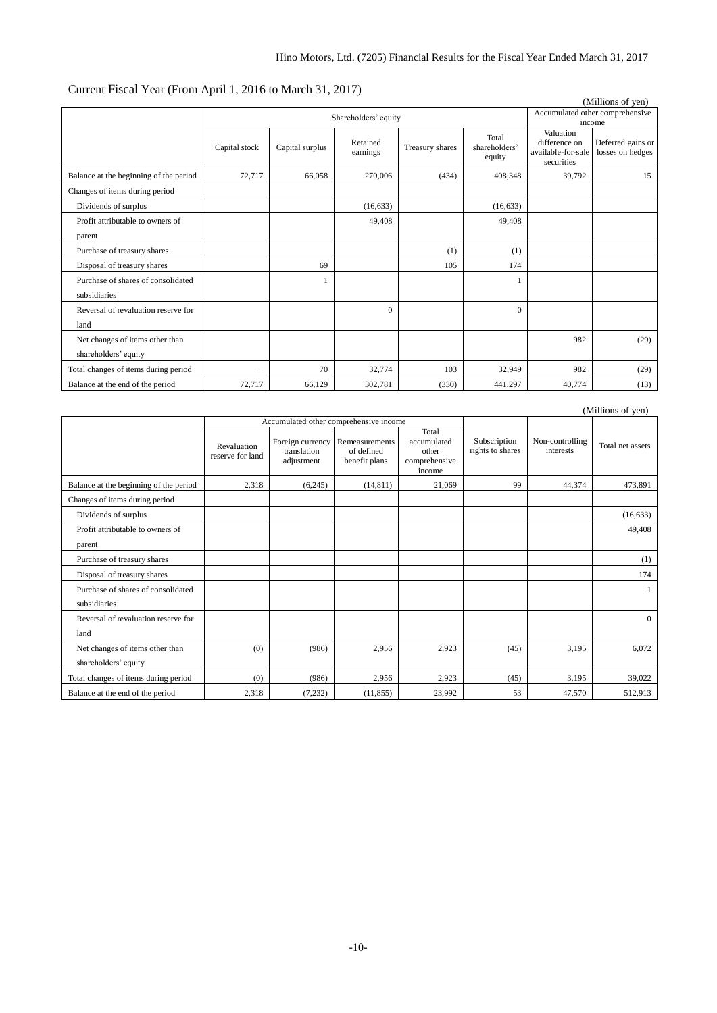## Current Fiscal Year (From April 1, 2016 to March 31, 2017)

|                                        |               |                      |           |                 |                        |                                  | (Millions of yen)               |
|----------------------------------------|---------------|----------------------|-----------|-----------------|------------------------|----------------------------------|---------------------------------|
|                                        |               | Shareholders' equity |           |                 |                        |                                  | Accumulated other comprehensive |
|                                        |               |                      |           |                 |                        | Valuation                        | income                          |
|                                        | Capital stock | Capital surplus      | Retained  | Treasury shares | Total<br>shareholders' | difference on                    | Deferred gains or               |
|                                        |               |                      | earnings  |                 | equity                 | available-for-sale<br>securities | losses on hedges                |
| Balance at the beginning of the period | 72,717        | 66,058               | 270,006   | (434)           | 408,348                | 39,792                           | 15                              |
| Changes of items during period         |               |                      |           |                 |                        |                                  |                                 |
| Dividends of surplus                   |               |                      | (16, 633) |                 | (16, 633)              |                                  |                                 |
| Profit attributable to owners of       |               |                      | 49,408    |                 | 49,408                 |                                  |                                 |
| parent                                 |               |                      |           |                 |                        |                                  |                                 |
| Purchase of treasury shares            |               |                      |           | (1)             | (1)                    |                                  |                                 |
| Disposal of treasury shares            |               | 69                   |           | 105             | 174                    |                                  |                                 |
| Purchase of shares of consolidated     |               |                      |           |                 |                        |                                  |                                 |
| subsidiaries                           |               |                      |           |                 |                        |                                  |                                 |
| Reversal of revaluation reserve for    |               |                      | $\Omega$  |                 | $\Omega$               |                                  |                                 |
| land                                   |               |                      |           |                 |                        |                                  |                                 |
| Net changes of items other than        |               |                      |           |                 |                        | 982                              | (29)                            |
| shareholders' equity                   |               |                      |           |                 |                        |                                  |                                 |
| Total changes of items during period   |               | 70                   | 32,774    | 103             | 32,949                 | 982                              | (29)                            |
| Balance at the end of the period       | 72,717        | 66,129               | 302,781   | (330)           | 441,297                | 40,774                           | (13)                            |

|                                                         |                                 |                                               |                                               |                                                          |                                  |                              | (Millions of yen) |
|---------------------------------------------------------|---------------------------------|-----------------------------------------------|-----------------------------------------------|----------------------------------------------------------|----------------------------------|------------------------------|-------------------|
|                                                         |                                 | Accumulated other comprehensive income        |                                               |                                                          |                                  |                              |                   |
|                                                         | Revaluation<br>reserve for land | Foreign currency<br>translation<br>adjustment | Remeasurements<br>of defined<br>benefit plans | Total<br>accumulated<br>other<br>comprehensive<br>income | Subscription<br>rights to shares | Non-controlling<br>interests | Total net assets  |
| Balance at the beginning of the period                  | 2,318                           | (6,245)                                       | (14, 811)                                     | 21,069                                                   | 99                               | 44,374                       | 473,891           |
| Changes of items during period                          |                                 |                                               |                                               |                                                          |                                  |                              |                   |
| Dividends of surplus                                    |                                 |                                               |                                               |                                                          |                                  |                              | (16, 633)         |
| Profit attributable to owners of<br>parent              |                                 |                                               |                                               |                                                          |                                  |                              | 49,408            |
| Purchase of treasury shares                             |                                 |                                               |                                               |                                                          |                                  |                              | (1)               |
| Disposal of treasury shares                             |                                 |                                               |                                               |                                                          |                                  |                              | 174               |
| Purchase of shares of consolidated<br>subsidiaries      |                                 |                                               |                                               |                                                          |                                  |                              |                   |
| Reversal of revaluation reserve for<br>land             |                                 |                                               |                                               |                                                          |                                  |                              | $\theta$          |
| Net changes of items other than<br>shareholders' equity | (0)                             | (986)                                         | 2,956                                         | 2,923                                                    | (45)                             | 3,195                        | 6,072             |
| Total changes of items during period                    | (0)                             | (986)                                         | 2,956                                         | 2,923                                                    | (45)                             | 3,195                        | 39,022            |
| Balance at the end of the period                        | 2,318                           | (7, 232)                                      | (11, 855)                                     | 23,992                                                   | 53                               | 47,570                       | 512,913           |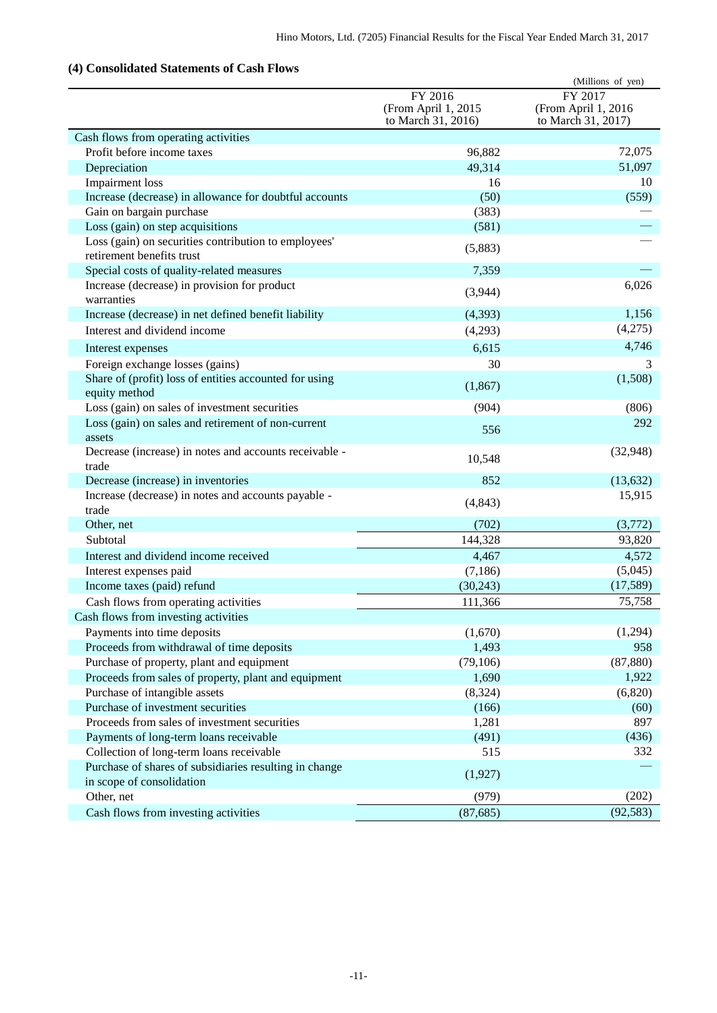## <span id="page-11-0"></span>**(4) Consolidated Statements of Cash Flows**

| Consonuatiu Diatements of                                                           |                                                      | (Millions of yen)                                    |
|-------------------------------------------------------------------------------------|------------------------------------------------------|------------------------------------------------------|
|                                                                                     | FY 2016<br>(From April 1, 2015<br>to March 31, 2016) | FY 2017<br>(From April 1, 2016<br>to March 31, 2017) |
| Cash flows from operating activities                                                |                                                      |                                                      |
| Profit before income taxes                                                          | 96,882                                               | 72,075                                               |
| Depreciation                                                                        | 49,314                                               | 51,097                                               |
| Impairment loss                                                                     | 16                                                   | 10                                                   |
| Increase (decrease) in allowance for doubtful accounts                              | (50)                                                 | (559)                                                |
| Gain on bargain purchase                                                            | (383)                                                |                                                      |
| Loss (gain) on step acquisitions                                                    | (581)                                                |                                                      |
| Loss (gain) on securities contribution to employees'<br>retirement benefits trust   | (5,883)                                              |                                                      |
| Special costs of quality-related measures                                           | 7,359                                                |                                                      |
| Increase (decrease) in provision for product<br>warranties                          | (3,944)                                              | 6,026                                                |
| Increase (decrease) in net defined benefit liability                                | (4, 393)                                             | 1,156                                                |
| Interest and dividend income                                                        | (4,293)                                              | (4,275)                                              |
| Interest expenses                                                                   | 6,615                                                | 4,746                                                |
| Foreign exchange losses (gains)                                                     | 30                                                   | 3                                                    |
| Share of (profit) loss of entities accounted for using<br>equity method             | (1, 867)                                             | (1,508)                                              |
| Loss (gain) on sales of investment securities                                       | (904)                                                | (806)                                                |
| Loss (gain) on sales and retirement of non-current<br>assets                        | 556                                                  | 292                                                  |
| Decrease (increase) in notes and accounts receivable -<br>trade                     | 10,548                                               | (32, 948)                                            |
| Decrease (increase) in inventories                                                  | 852                                                  | (13, 632)                                            |
| Increase (decrease) in notes and accounts payable -                                 |                                                      | 15,915                                               |
| trade                                                                               | (4, 843)                                             |                                                      |
| Other, net                                                                          | (702)                                                | (3,772)                                              |
| Subtotal                                                                            | 144,328                                              | 93,820                                               |
| Interest and dividend income received                                               | 4,467                                                | 4,572                                                |
| Interest expenses paid                                                              | (7,186)                                              | (5,045)                                              |
| Income taxes (paid) refund                                                          | (30, 243)                                            | (17,589)                                             |
| Cash flows from operating activities                                                | 111,366                                              | 75,758                                               |
| Cash flows from investing activities                                                |                                                      |                                                      |
| Payments into time deposits                                                         | (1,670)                                              | (1,294)                                              |
| Proceeds from withdrawal of time deposits                                           | 1,493                                                | 958                                                  |
| Purchase of property, plant and equipment                                           | (79, 106)                                            | (87, 880)                                            |
| Proceeds from sales of property, plant and equipment                                | 1,690                                                | 1,922                                                |
| Purchase of intangible assets                                                       | (8, 324)                                             | (6,820)                                              |
| Purchase of investment securities                                                   | (166)                                                | (60)                                                 |
| Proceeds from sales of investment securities                                        | 1,281                                                | 897                                                  |
| Payments of long-term loans receivable                                              | (491)                                                | (436)                                                |
| Collection of long-term loans receivable                                            | 515                                                  | 332                                                  |
| Purchase of shares of subsidiaries resulting in change<br>in scope of consolidation | (1,927)                                              |                                                      |
| Other, net                                                                          | (979)                                                | (202)                                                |
| Cash flows from investing activities                                                | (87, 685)                                            | (92, 583)                                            |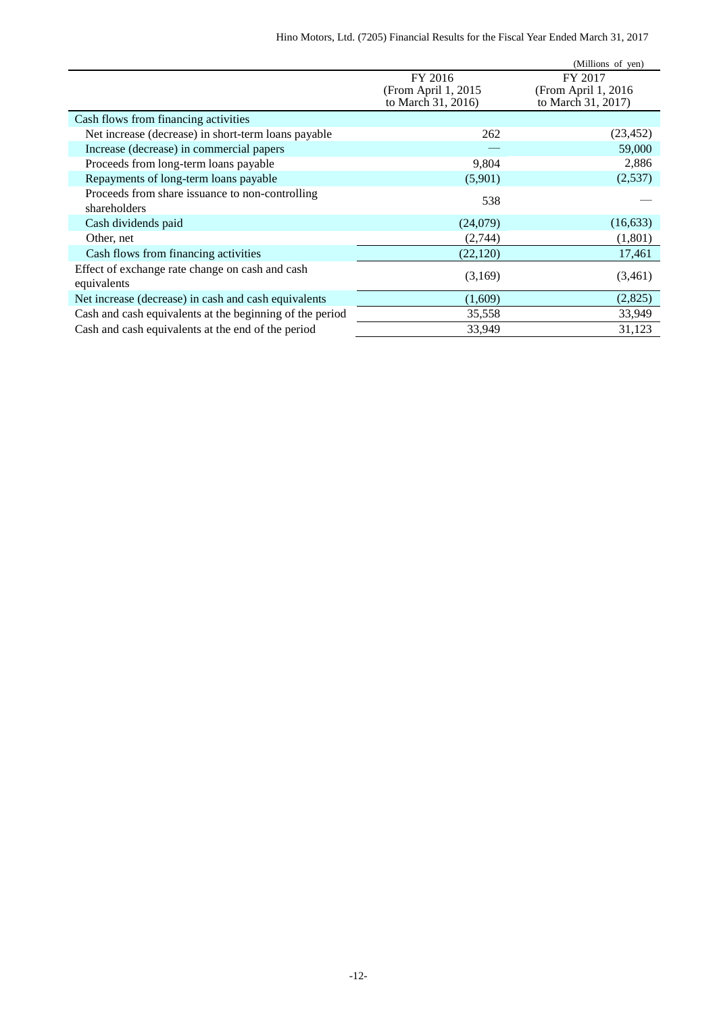|                                                                 |                                                      | (Millions of yen)                                     |
|-----------------------------------------------------------------|------------------------------------------------------|-------------------------------------------------------|
|                                                                 | FY 2016<br>(From April 1, 2015<br>to March 31, 2016) | FY 2017<br>(From April 1, 2016)<br>to March 31, 2017) |
| Cash flows from financing activities                            |                                                      |                                                       |
| Net increase (decrease) in short-term loans payable             | 262                                                  | (23, 452)                                             |
| Increase (decrease) in commercial papers                        |                                                      | 59,000                                                |
| Proceeds from long-term loans payable                           | 9,804                                                | 2,886                                                 |
| Repayments of long-term loans payable                           | (5,901)                                              | (2,537)                                               |
| Proceeds from share issuance to non-controlling<br>shareholders | 538                                                  |                                                       |
| Cash dividends paid                                             | (24,079)                                             | (16, 633)                                             |
| Other, net                                                      | (2,744)                                              | (1,801)                                               |
| Cash flows from financing activities                            | (22, 120)                                            | 17,461                                                |
| Effect of exchange rate change on cash and cash<br>equivalents  | (3,169)                                              | (3,461)                                               |
| Net increase (decrease) in cash and cash equivalents            | (1,609)                                              | (2,825)                                               |
| Cash and cash equivalents at the beginning of the period        | 35,558                                               | 33,949                                                |
| Cash and cash equivalents at the end of the period              | 33,949                                               | 31,123                                                |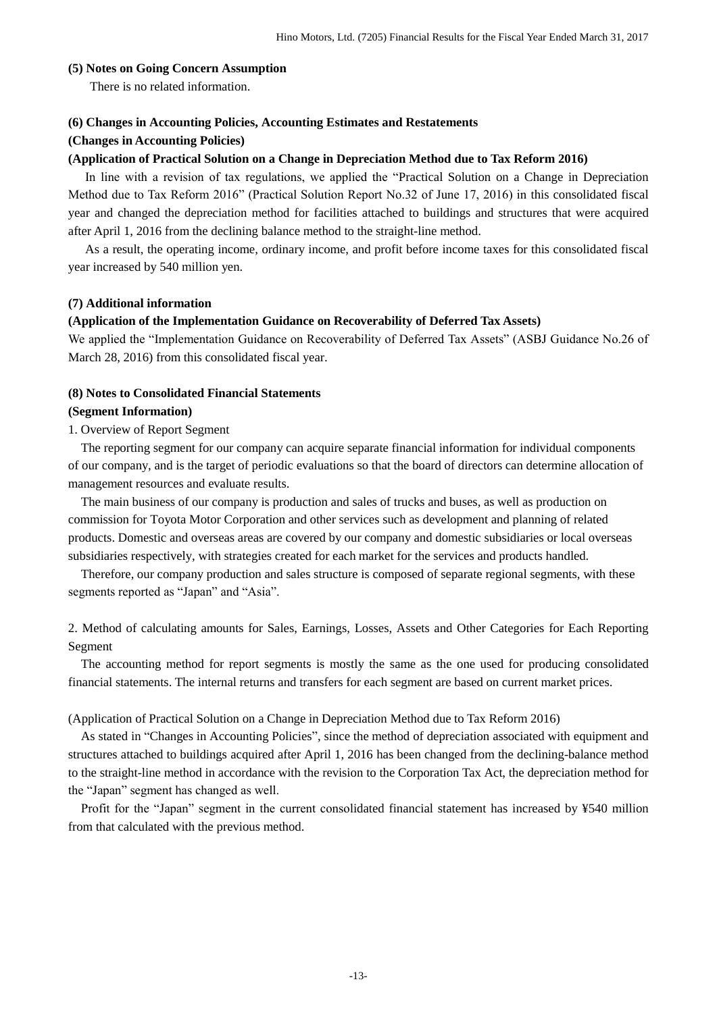#### <span id="page-13-0"></span>**(5) Notes on Going Concern Assumption**

There is no related information.

### <span id="page-13-1"></span>**(6) Changes in Accounting Policies, Accounting Estimates and Restatements**

### **(Changes in Accounting Policies)**

### **(Application of Practical Solution on a Change in Depreciation Method due to Tax Reform 2016)**

In line with a revision of tax regulations, we applied the "Practical Solution on a Change in Depreciation Method due to Tax Reform 2016" (Practical Solution Report No.32 of June 17, 2016) in this consolidated fiscal year and changed the depreciation method for facilities attached to buildings and structures that were acquired after April 1, 2016 from the declining balance method to the straight-line method.

As a result, the operating income, ordinary income, and profit before income taxes for this consolidated fiscal year increased by 540 million yen.

#### <span id="page-13-2"></span>**(7) Additional information**

#### **(Application of the Implementation Guidance on Recoverability of Deferred Tax Assets)**

We applied the "Implementation Guidance on Recoverability of Deferred Tax Assets" (ASBJ Guidance No.26 of March 28, 2016) from this consolidated fiscal year.

#### <span id="page-13-3"></span>**(8) Notes to Consolidated Financial Statements**

#### <span id="page-13-4"></span>**(Segment Information)**

### 1. Overview of Report Segment

The reporting segment for our company can acquire separate financial information for individual components of our company, and is the target of periodic evaluations so that the board of directors can determine allocation of management resources and evaluate results.

The main business of our company is production and sales of trucks and buses, as well as production on commission for Toyota Motor Corporation and other services such as development and planning of related products. Domestic and overseas areas are covered by our company and domestic subsidiaries or local overseas subsidiaries respectively, with strategies created for each market for the services and products handled.

Therefore, our company production and sales structure is composed of separate regional segments, with these segments reported as "Japan" and "Asia".

2. Method of calculating amounts for Sales, Earnings, Losses, Assets and Other Categories for Each Reporting Segment

The accounting method for report segments is mostly the same as the one used for producing consolidated financial statements. The internal returns and transfers for each segment are based on current market prices.

### (Application of Practical Solution on a Change in Depreciation Method due to Tax Reform 2016)

As stated in "Changes in Accounting Policies", since the method of depreciation associated with equipment and structures attached to buildings acquired after April 1, 2016 has been changed from the declining-balance method to the straight-line method in accordance with the revision to the Corporation Tax Act, the depreciation method for the "Japan" segment has changed as well.

Profit for the "Japan" segment in the current consolidated financial statement has increased by ¥540 million from that calculated with the previous method.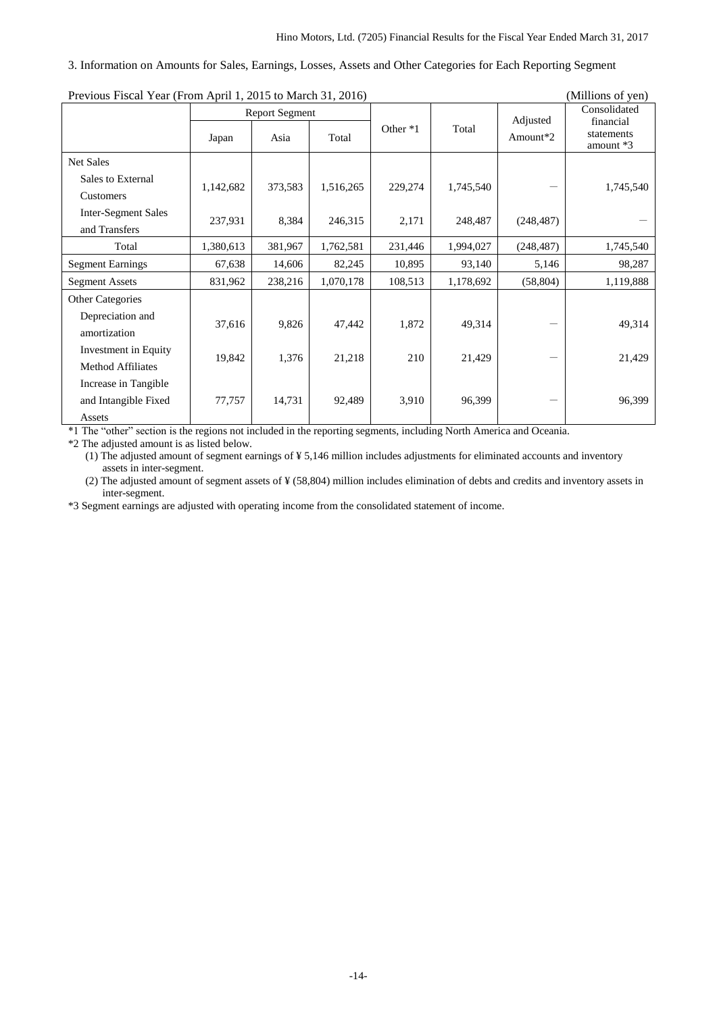#### 3. Information on Amounts for Sales, Earnings, Losses, Assets and Other Categories for Each Reporting Segment

| Previous Piscal Teal (Profil April 1, 2015 to March 31, 2010) |           |                       |           |          |           |            | (TVITHIOHS OF YELL)       |
|---------------------------------------------------------------|-----------|-----------------------|-----------|----------|-----------|------------|---------------------------|
|                                                               |           | <b>Report Segment</b> |           |          |           | Adjusted   | Consolidated<br>financial |
|                                                               | Japan     | Asia                  | Total     | Other *1 | Total     | Amount*2   | statements<br>amount $*3$ |
| Net Sales                                                     |           |                       |           |          |           |            |                           |
| Sales to External                                             | 1,142,682 | 373,583               | 1,516,265 | 229,274  | 1,745,540 |            | 1,745,540                 |
| Customers                                                     |           |                       |           |          |           |            |                           |
| <b>Inter-Segment Sales</b>                                    | 237,931   | 8,384                 | 246,315   |          | 248,487   |            |                           |
| and Transfers                                                 |           |                       |           | 2,171    |           | (248, 487) |                           |
| Total                                                         | 1,380,613 | 381,967               | 1,762,581 | 231,446  | 1,994,027 | (248, 487) | 1,745,540                 |
| <b>Segment Earnings</b>                                       | 67,638    | 14,606                | 82,245    | 10,895   | 93,140    | 5,146      | 98,287                    |
| <b>Segment Assets</b>                                         | 831,962   | 238,216               | 1,070,178 | 108,513  | 1,178,692 | (58, 804)  | 1,119,888                 |
| <b>Other Categories</b>                                       |           |                       |           |          |           |            |                           |
| Depreciation and<br>amortization                              | 37,616    | 9,826                 | 47,442    | 1,872    | 49,314    |            | 49,314                    |
| Investment in Equity<br><b>Method Affiliates</b>              | 19,842    | 1,376                 | 21,218    | 210      | 21,429    |            | 21,429                    |
| Increase in Tangible                                          |           |                       |           |          |           |            |                           |
| and Intangible Fixed                                          | 77,757    | 14,731                | 92,489    | 3,910    | 96,399    |            | 96,399                    |
| Assets                                                        |           |                       |           |          |           |            |                           |

Previous Fiscal Year (From April 1, 2015 to March 31, 2016) (Millions of yen)

\*1 The "other" section is the regions not included in the reporting segments, including North America and Oceania.

\*2 The adjusted amount is as listed below.

(1) The adjusted amount of segment earnings of ¥ 5,146 million includes adjustments for eliminated accounts and inventory assets in inter-segment.

(2) The adjusted amount of segment assets of ¥ (58,804) million includes elimination of debts and credits and inventory assets in inter-segment.

\*3 Segment earnings are adjusted with operating income from the consolidated statement of income.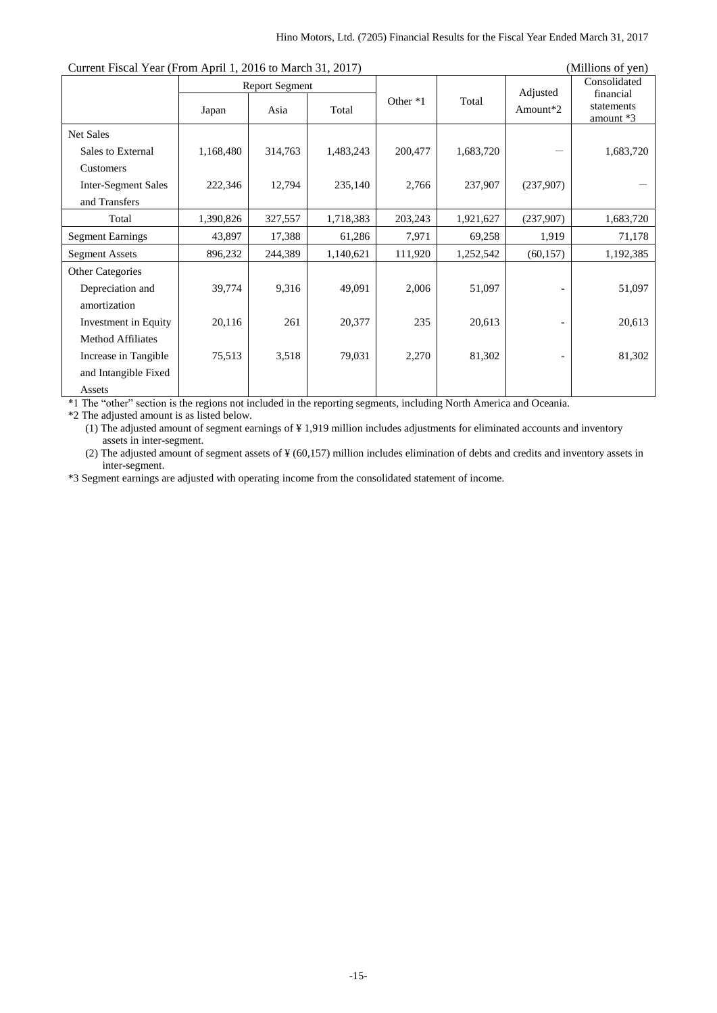| Current Fiscal Tear (From April 1, 2010 to March 31, 2017) |           |                               |           |          | (MIIIIOIIS OL VEIL) |                      |                                                      |
|------------------------------------------------------------|-----------|-------------------------------|-----------|----------|---------------------|----------------------|------------------------------------------------------|
|                                                            | Japan     | <b>Report Segment</b><br>Asia | Total     | Other *1 | Total               | Adjusted<br>Amount*2 | Consolidated<br>financial<br>statements<br>amount *3 |
| <b>Net Sales</b>                                           |           |                               |           |          |                     |                      |                                                      |
| Sales to External                                          | 1,168,480 | 314,763                       | 1,483,243 | 200,477  | 1,683,720           |                      | 1,683,720                                            |
| Customers                                                  |           |                               |           |          |                     |                      |                                                      |
| <b>Inter-Segment Sales</b>                                 | 222,346   | 12,794                        | 235,140   | 2,766    | 237,907             | (237,907)            |                                                      |
| and Transfers                                              |           |                               |           |          |                     |                      |                                                      |
| Total                                                      | 1,390,826 | 327,557                       | 1,718,383 | 203,243  | 1,921,627           | (237,907)            | 1,683,720                                            |
| <b>Segment Earnings</b>                                    | 43,897    | 17,388                        | 61,286    | 7,971    | 69,258              | 1,919                | 71,178                                               |
| <b>Segment Assets</b>                                      | 896,232   | 244,389                       | 1,140,621 | 111,920  | 1,252,542           | (60, 157)            | 1,192,385                                            |
| <b>Other Categories</b>                                    |           |                               |           |          |                     |                      |                                                      |
| Depreciation and                                           | 39,774    | 9,316                         | 49,091    | 2,006    | 51,097              |                      | 51,097                                               |
| amortization                                               |           |                               |           |          |                     |                      |                                                      |
| Investment in Equity                                       | 20,116    | 261                           | 20,377    | 235      | 20,613              |                      | 20,613                                               |
| <b>Method Affiliates</b>                                   |           |                               |           |          |                     |                      |                                                      |
| Increase in Tangible                                       | 75,513    | 3,518                         | 79,031    | 2,270    | 81,302              |                      | 81,302                                               |
| and Intangible Fixed                                       |           |                               |           |          |                     |                      |                                                      |
| Assets                                                     |           |                               |           |          |                     |                      |                                                      |

Current Fiscal Year (From April 1, 2016 to March 31, 2017) (Millions of yen)

\*1 The "other" section is the regions not included in the reporting segments, including North America and Oceania.

\*2 The adjusted amount is as listed below.

(1) The adjusted amount of segment earnings of ¥ 1,919 million includes adjustments for eliminated accounts and inventory assets in inter-segment.

(2) The adjusted amount of segment assets of ¥ (60,157) million includes elimination of debts and credits and inventory assets in inter-segment.

\*3 Segment earnings are adjusted with operating income from the consolidated statement of income.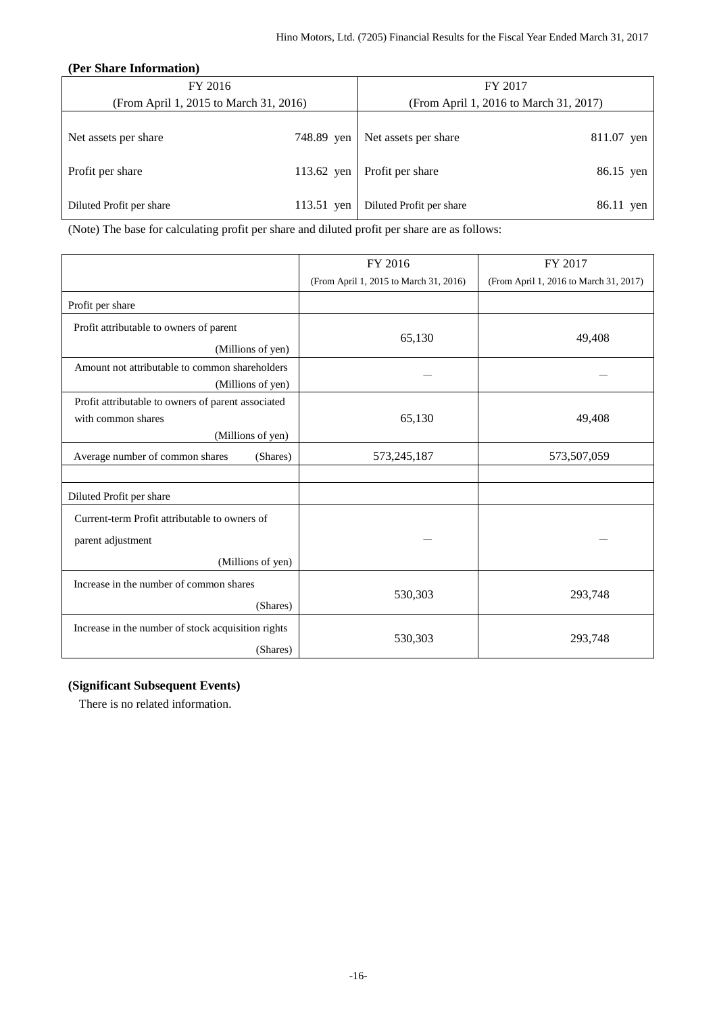### <span id="page-16-0"></span>**(Per Share Information)**

| FY 2016                                |            | FY 2017                                |            |  |
|----------------------------------------|------------|----------------------------------------|------------|--|
| (From April 1, 2015 to March 31, 2016) |            | (From April 1, 2016 to March 31, 2017) |            |  |
| Net assets per share                   | 748.89 yen | Net assets per share                   | 811.07 yen |  |
| Profit per share                       | 113.62 yen | Profit per share                       | 86.15 yen  |  |
| Diluted Profit per share               | 113.51 yen | Diluted Profit per share               | 86.11 yen  |  |

(Note) The base for calculating profit per share and diluted profit per share are as follows:

|                                                                | FY 2016                                | FY 2017                                |
|----------------------------------------------------------------|----------------------------------------|----------------------------------------|
|                                                                | (From April 1, 2015 to March 31, 2016) | (From April 1, 2016 to March 31, 2017) |
| Profit per share                                               |                                        |                                        |
| Profit attributable to owners of parent                        |                                        |                                        |
| (Millions of yen)                                              | 65,130                                 | 49,408                                 |
| Amount not attributable to common shareholders                 |                                        |                                        |
| (Millions of yen)                                              |                                        |                                        |
| Profit attributable to owners of parent associated             |                                        |                                        |
| with common shares                                             | 65,130                                 | 49,408                                 |
| (Millions of yen)                                              |                                        |                                        |
| Average number of common shares<br>(Shares)                    | 573,245,187                            | 573,507,059                            |
|                                                                |                                        |                                        |
| Diluted Profit per share                                       |                                        |                                        |
| Current-term Profit attributable to owners of                  |                                        |                                        |
| parent adjustment                                              |                                        |                                        |
| (Millions of yen)                                              |                                        |                                        |
| Increase in the number of common shares                        |                                        |                                        |
| (Shares)                                                       | 530,303                                | 293,748                                |
| Increase in the number of stock acquisition rights<br>(Shares) | 530,303                                | 293,748                                |

## <span id="page-16-1"></span>**(Significant Subsequent Events)**

There is no related information.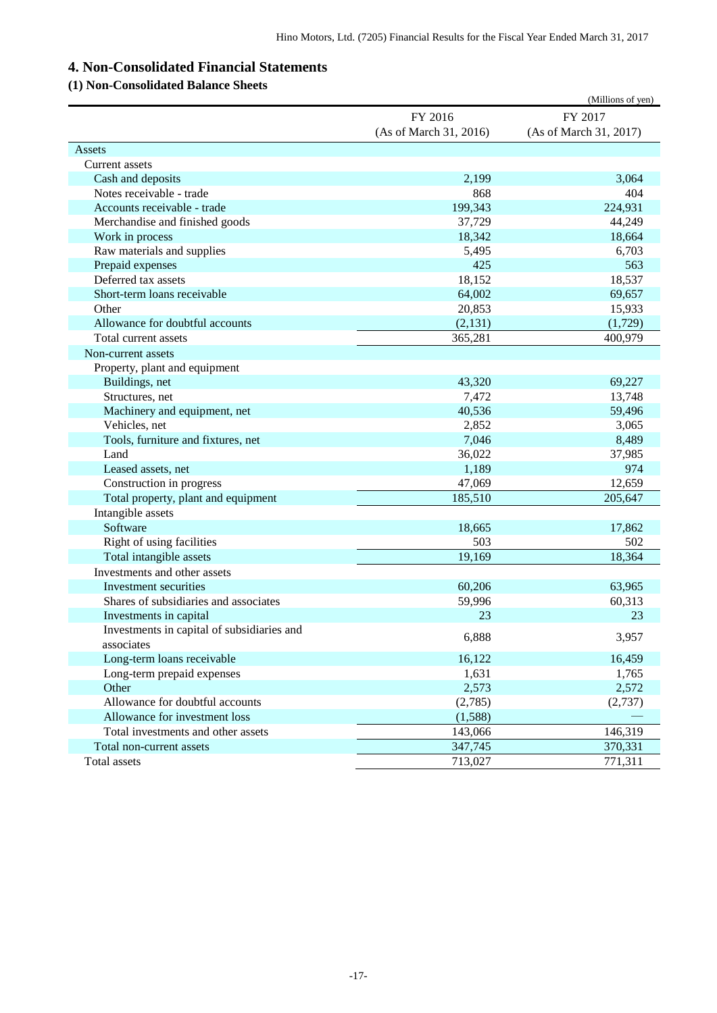# <span id="page-17-0"></span>**4. Non-Consolidated Financial Statements**

## <span id="page-17-1"></span>**(1) Non-Consolidated Balance Sheets**

|                                            |                        | (Millions of yen)      |
|--------------------------------------------|------------------------|------------------------|
|                                            | FY 2016                | FY 2017                |
|                                            | (As of March 31, 2016) | (As of March 31, 2017) |
| Assets                                     |                        |                        |
| Current assets                             |                        |                        |
| Cash and deposits                          | 2,199                  | 3,064                  |
| Notes receivable - trade                   | 868                    | 404                    |
| Accounts receivable - trade                | 199,343                | 224,931                |
| Merchandise and finished goods             | 37,729                 | 44,249                 |
| Work in process                            | 18,342                 | 18,664                 |
| Raw materials and supplies                 | 5,495                  | 6,703                  |
| Prepaid expenses                           | 425                    | 563                    |
| Deferred tax assets                        | 18,152                 | 18,537                 |
| Short-term loans receivable                | 64,002                 | 69,657                 |
| Other                                      | 20,853                 | 15,933                 |
| Allowance for doubtful accounts            | (2, 131)               | (1,729)                |
| Total current assets                       | 365,281                | 400,979                |
| Non-current assets                         |                        |                        |
| Property, plant and equipment              |                        |                        |
| Buildings, net                             | 43,320                 | 69,227                 |
| Structures, net                            | 7,472                  | 13,748                 |
| Machinery and equipment, net               | 40,536                 | 59,496                 |
| Vehicles, net                              | 2,852                  | 3,065                  |
| Tools, furniture and fixtures, net         | 7,046                  | 8,489                  |
| Land                                       | 36,022                 | 37,985                 |
| Leased assets, net                         | 1,189                  | 974                    |
| Construction in progress                   | 47,069                 | 12,659                 |
| Total property, plant and equipment        | 185,510                | 205,647                |
| Intangible assets                          |                        |                        |
| Software                                   | 18,665                 | 17,862                 |
| Right of using facilities                  | 503                    | 502                    |
| Total intangible assets                    | 19,169                 | 18,364                 |
| Investments and other assets               |                        |                        |
| Investment securities                      | 60,206                 | 63,965                 |
| Shares of subsidiaries and associates      | 59,996                 | 60,313                 |
| Investments in capital                     | 23                     | 23                     |
| Investments in capital of subsidiaries and | 6,888                  | 3,957                  |
| associates                                 |                        |                        |
| Long-term loans receivable                 | 16,122                 | 16,459                 |
| Long-term prepaid expenses                 | 1,631                  | 1,765                  |
| Other                                      | 2,573                  | 2,572                  |
| Allowance for doubtful accounts            | (2,785)                | (2,737)                |
| Allowance for investment loss              | (1,588)                |                        |
| Total investments and other assets         | 143,066                | 146,319                |
| Total non-current assets                   | 347,745                | 370,331                |
| Total assets                               | 713,027                | 771,311                |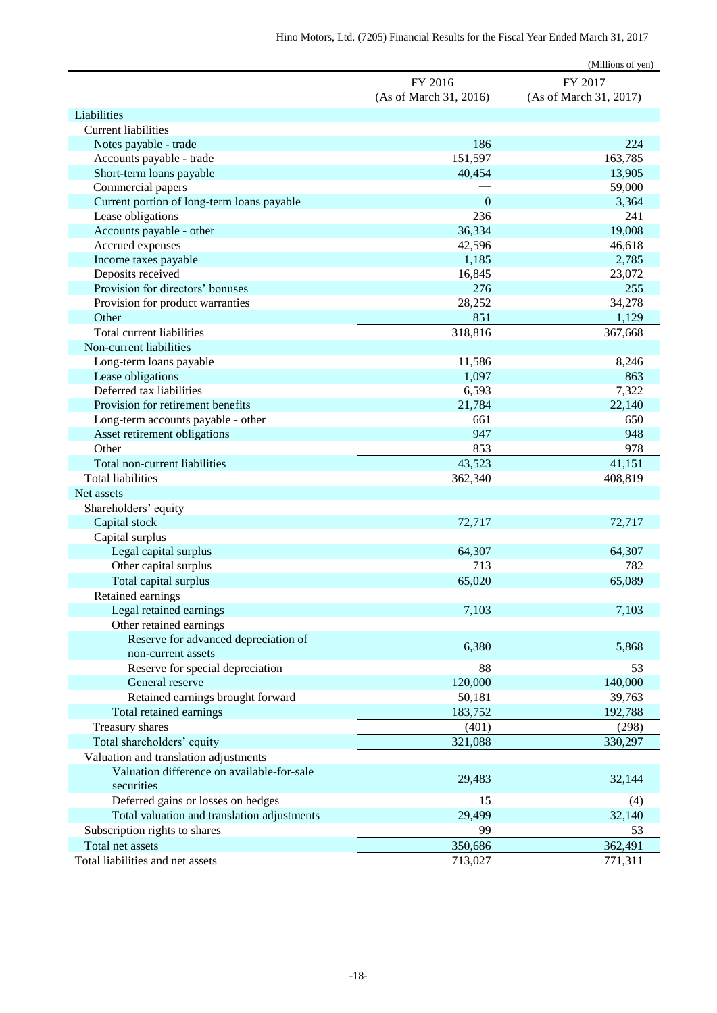|                                             |                        | (Millions of yen)      |
|---------------------------------------------|------------------------|------------------------|
|                                             | FY 2016                | FY 2017                |
|                                             | (As of March 31, 2016) | (As of March 31, 2017) |
| Liabilities                                 |                        |                        |
| <b>Current liabilities</b>                  |                        |                        |
| Notes payable - trade                       | 186                    | 224                    |
| Accounts payable - trade                    | 151,597                | 163,785                |
| Short-term loans payable                    | 40,454                 | 13,905                 |
| Commercial papers                           |                        | 59,000                 |
| Current portion of long-term loans payable  | $\mathbf{0}$           | 3,364                  |
| Lease obligations                           | 236                    | 241                    |
| Accounts payable - other                    | 36,334                 | 19,008                 |
| Accrued expenses                            | 42,596                 | 46,618                 |
| Income taxes payable                        | 1,185                  | 2,785                  |
| Deposits received                           | 16,845                 | 23,072                 |
| Provision for directors' bonuses            | 276                    | 255                    |
| Provision for product warranties            | 28,252                 | 34,278                 |
| Other                                       | 851                    | 1,129                  |
| Total current liabilities                   | 318,816                | 367,668                |
| Non-current liabilities                     |                        |                        |
| Long-term loans payable                     | 11,586                 | 8,246                  |
| Lease obligations                           | 1,097                  | 863                    |
| Deferred tax liabilities                    | 6,593                  | 7,322                  |
| Provision for retirement benefits           | 21,784                 | 22,140                 |
| Long-term accounts payable - other          | 661                    | 650                    |
| Asset retirement obligations                | 947                    | 948                    |
| Other                                       | 853                    | 978                    |
| Total non-current liabilities               | 43,523                 | 41,151                 |
| <b>Total liabilities</b>                    | 362,340                | 408,819                |
| Net assets                                  |                        |                        |
| Shareholders' equity                        |                        |                        |
| Capital stock                               | 72,717                 | 72,717                 |
| Capital surplus                             |                        |                        |
| Legal capital surplus                       | 64,307                 | 64,307                 |
| Other capital surplus                       | 713                    | 782                    |
| Total capital surplus                       | 65,020                 | 65,089                 |
| Retained earnings                           |                        |                        |
| Legal retained earnings                     | 7,103                  | 7,103                  |
| Other retained earnings                     |                        |                        |
| Reserve for advanced depreciation of        | 6,380                  | 5,868                  |
| non-current assets                          |                        |                        |
| Reserve for special depreciation            | 88                     | 53                     |
| General reserve                             | 120,000                | 140,000                |
| Retained earnings brought forward           | 50,181                 | 39,763                 |
| Total retained earnings                     | 183,752                | 192,788                |
| Treasury shares                             | (401)                  | (298)                  |
| Total shareholders' equity                  | 321,088                | 330,297                |
| Valuation and translation adjustments       |                        |                        |
| Valuation difference on available-for-sale  |                        |                        |
| securities                                  | 29,483                 | 32,144                 |
| Deferred gains or losses on hedges          | 15                     | (4)                    |
| Total valuation and translation adjustments | 29,499                 | 32,140                 |
| Subscription rights to shares               | 99                     | 53                     |
| Total net assets                            | 350,686                | 362,491                |
| Total liabilities and net assets            | 713,027                | 771,311                |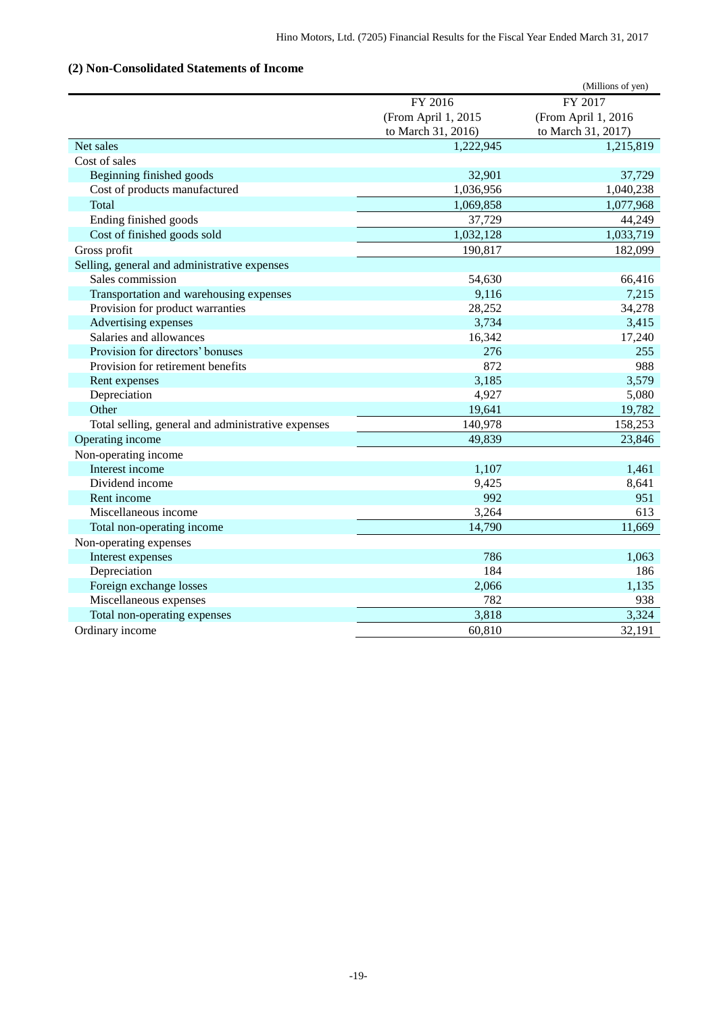## <span id="page-19-0"></span>**(2) Non-Consolidated Statements of Income**

|                                                    |                     | (Millions of yen)   |
|----------------------------------------------------|---------------------|---------------------|
|                                                    | FY 2016             | FY 2017             |
|                                                    | (From April 1, 2015 | (From April 1, 2016 |
|                                                    | to March 31, 2016)  | to March 31, 2017)  |
| Net sales                                          | 1,222,945           | 1,215,819           |
| Cost of sales                                      |                     |                     |
| Beginning finished goods                           | 32,901              | 37,729              |
| Cost of products manufactured                      | 1,036,956           | 1,040,238           |
| Total                                              | 1,069,858           | 1,077,968           |
| Ending finished goods                              | 37,729              | 44,249              |
| Cost of finished goods sold                        | 1,032,128           | 1,033,719           |
| Gross profit                                       | 190,817             | 182,099             |
| Selling, general and administrative expenses       |                     |                     |
| Sales commission                                   | 54,630              | 66,416              |
| Transportation and warehousing expenses            | 9,116               | 7,215               |
| Provision for product warranties                   | 28,252              | 34,278              |
| Advertising expenses                               | 3,734               | 3,415               |
| Salaries and allowances                            | 16,342              | 17,240              |
| Provision for directors' bonuses                   | 276                 | 255                 |
| Provision for retirement benefits                  | 872                 | 988                 |
| Rent expenses                                      | 3,185               | 3,579               |
| Depreciation                                       | 4,927               | 5,080               |
| Other                                              | 19,641              | 19,782              |
| Total selling, general and administrative expenses | 140,978             | 158,253             |
| Operating income                                   | 49,839              | 23,846              |
| Non-operating income                               |                     |                     |
| Interest income                                    | 1,107               | 1,461               |
| Dividend income                                    | 9,425               | 8,641               |
| Rent income                                        | 992                 | 951                 |
| Miscellaneous income                               | 3,264               | 613                 |
| Total non-operating income                         | 14,790              | 11,669              |
| Non-operating expenses                             |                     |                     |
| Interest expenses                                  | 786                 | 1,063               |
| Depreciation                                       | 184                 | 186                 |
| Foreign exchange losses                            | 2,066               | 1,135               |
| Miscellaneous expenses                             | 782                 | 938                 |
| Total non-operating expenses                       | 3,818               | 3,324               |
| Ordinary income                                    | 60,810              | 32,191              |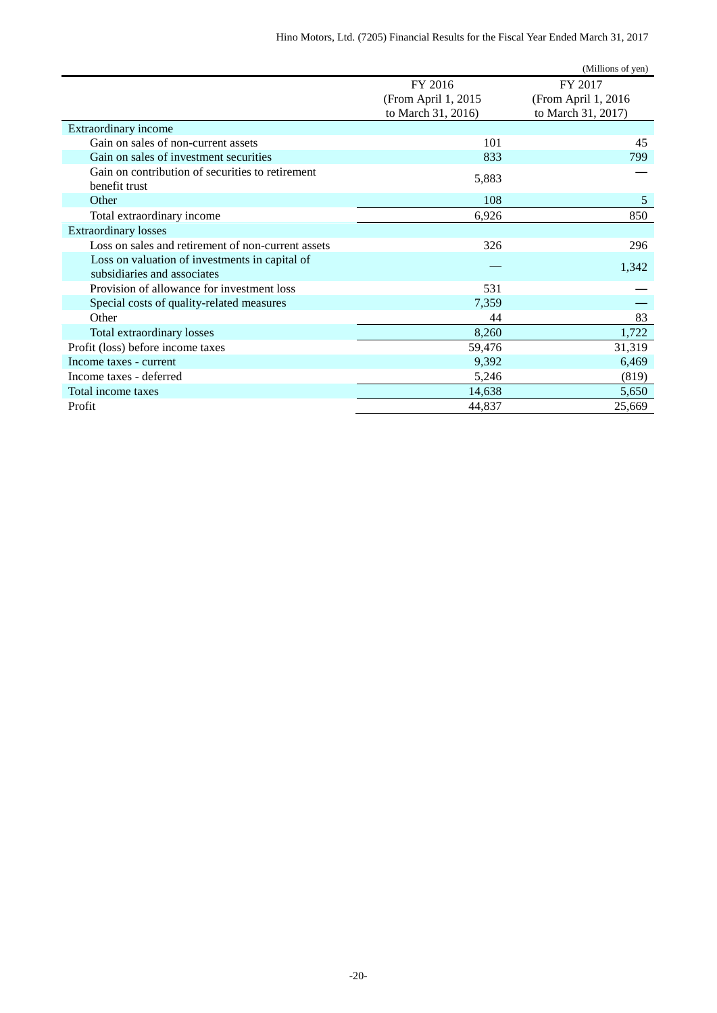|                                                    |                     | (Millions of yen)   |
|----------------------------------------------------|---------------------|---------------------|
|                                                    | FY 2016             | FY 2017             |
|                                                    | (From April 1, 2015 | (From April 1, 2016 |
|                                                    | to March 31, 2016)  | to March 31, 2017)  |
| Extraordinary income                               |                     |                     |
| Gain on sales of non-current assets                | 101                 | 45                  |
| Gain on sales of investment securities             | 833                 | 799                 |
| Gain on contribution of securities to retirement   |                     |                     |
| benefit trust                                      | 5,883               |                     |
| Other                                              | 108                 | 5                   |
| Total extraordinary income                         | 6,926               | 850                 |
| <b>Extraordinary losses</b>                        |                     |                     |
| Loss on sales and retirement of non-current assets | 326                 | 296                 |
| Loss on valuation of investments in capital of     |                     |                     |
| subsidiaries and associates                        |                     | 1,342               |
| Provision of allowance for investment loss         | 531                 |                     |
| Special costs of quality-related measures          | 7,359               |                     |
| Other                                              | 44                  | 83                  |
| Total extraordinary losses                         | 8,260               | 1,722               |
| Profit (loss) before income taxes                  | 59,476              | 31,319              |
| Income taxes - current                             | 9,392               | 6,469               |
| Income taxes - deferred                            | 5,246               | (819)               |
| Total income taxes                                 | 14,638              | 5,650               |
| Profit                                             | 44,837              | 25,669              |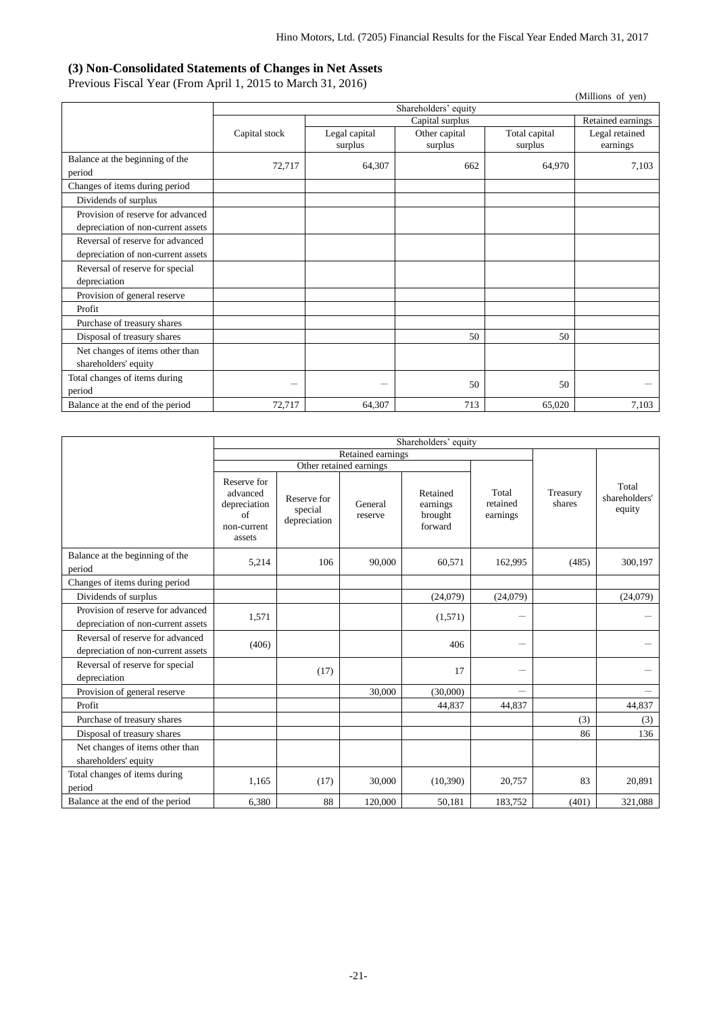### <span id="page-21-0"></span>**(3) Non-Consolidated Statements of Changes in Net Assets**

Previous Fiscal Year (From April 1, 2015 to March 31, 2016)

|                                                         |               |                          |                          |                          | (Millions of yen)          |
|---------------------------------------------------------|---------------|--------------------------|--------------------------|--------------------------|----------------------------|
|                                                         |               |                          | Shareholders' equity     |                          |                            |
|                                                         |               |                          | Retained earnings        |                          |                            |
|                                                         | Capital stock | Legal capital<br>surplus | Other capital<br>surplus | Total capital<br>surplus | Legal retained<br>earnings |
| Balance at the beginning of the<br>period               | 72,717        | 64,307                   | 662                      | 64,970                   | 7,103                      |
| Changes of items during period                          |               |                          |                          |                          |                            |
| Dividends of surplus                                    |               |                          |                          |                          |                            |
| Provision of reserve for advanced                       |               |                          |                          |                          |                            |
| depreciation of non-current assets                      |               |                          |                          |                          |                            |
| Reversal of reserve for advanced                        |               |                          |                          |                          |                            |
| depreciation of non-current assets                      |               |                          |                          |                          |                            |
| Reversal of reserve for special                         |               |                          |                          |                          |                            |
| depreciation                                            |               |                          |                          |                          |                            |
| Provision of general reserve                            |               |                          |                          |                          |                            |
| Profit                                                  |               |                          |                          |                          |                            |
| Purchase of treasury shares                             |               |                          |                          |                          |                            |
| Disposal of treasury shares                             |               |                          | 50                       | 50                       |                            |
| Net changes of items other than<br>shareholders' equity |               |                          |                          |                          |                            |
| Total changes of items during<br>period                 |               | —                        | 50                       | 50                       |                            |
| Balance at the end of the period                        | 72,717        | 64,307                   | 713                      | 65.020                   | 7,103                      |

|                                                                         | Shareholders' equity                                                   |                                        |                         |                                            |                               |                    |                                  |
|-------------------------------------------------------------------------|------------------------------------------------------------------------|----------------------------------------|-------------------------|--------------------------------------------|-------------------------------|--------------------|----------------------------------|
|                                                                         |                                                                        | Retained earnings                      |                         |                                            |                               |                    |                                  |
|                                                                         |                                                                        |                                        | Other retained earnings |                                            |                               |                    |                                  |
|                                                                         | Reserve for<br>advanced<br>depreciation<br>of<br>non-current<br>assets | Reserve for<br>special<br>depreciation | General<br>reserve      | Retained<br>earnings<br>brought<br>forward | Total<br>retained<br>earnings | Treasury<br>shares | Total<br>shareholders'<br>equity |
| Balance at the beginning of the<br>period                               | 5,214                                                                  | 106                                    | 90,000                  | 60,571                                     | 162,995                       | (485)              | 300,197                          |
| Changes of items during period                                          |                                                                        |                                        |                         |                                            |                               |                    |                                  |
| Dividends of surplus                                                    |                                                                        |                                        |                         | (24,079)                                   | (24,079)                      |                    | (24,079)                         |
| Provision of reserve for advanced<br>depreciation of non-current assets | 1,571                                                                  |                                        |                         | (1,571)                                    |                               |                    |                                  |
| Reversal of reserve for advanced<br>depreciation of non-current assets  | (406)                                                                  |                                        |                         | 406                                        | $\overline{\phantom{0}}$      |                    |                                  |
| Reversal of reserve for special<br>depreciation                         |                                                                        | (17)                                   |                         | 17                                         |                               |                    |                                  |
| Provision of general reserve                                            |                                                                        |                                        | 30,000                  | (30,000)                                   |                               |                    |                                  |
| Profit                                                                  |                                                                        |                                        |                         | 44,837                                     | 44,837                        |                    | 44,837                           |
| Purchase of treasury shares                                             |                                                                        |                                        |                         |                                            |                               | (3)                | (3)                              |
| Disposal of treasury shares                                             |                                                                        |                                        |                         |                                            |                               | 86                 | 136                              |
| Net changes of items other than<br>shareholders' equity                 |                                                                        |                                        |                         |                                            |                               |                    |                                  |
| Total changes of items during<br>period                                 | 1,165                                                                  | (17)                                   | 30,000                  | (10, 390)                                  | 20,757                        | 83                 | 20,891                           |
| Balance at the end of the period                                        | 6,380                                                                  | 88                                     | 120,000                 | 50,181                                     | 183.752                       | (401)              | 321,088                          |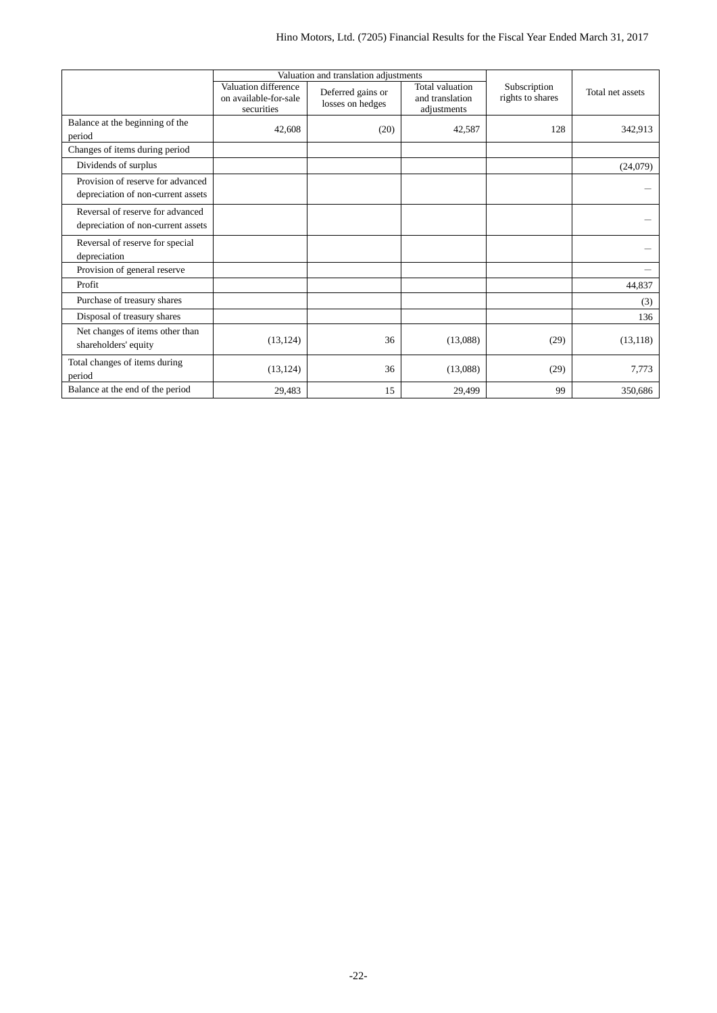|                                                                         |                                                             | Valuation and translation adjustments |                                                   |                                  |                  |
|-------------------------------------------------------------------------|-------------------------------------------------------------|---------------------------------------|---------------------------------------------------|----------------------------------|------------------|
|                                                                         | Valuation difference<br>on available-for-sale<br>securities | Deferred gains or<br>losses on hedges | Total valuation<br>and translation<br>adjustments | Subscription<br>rights to shares | Total net assets |
| Balance at the beginning of the<br>period                               | 42,608                                                      | (20)                                  | 42,587                                            | 128                              | 342,913          |
| Changes of items during period                                          |                                                             |                                       |                                                   |                                  |                  |
| Dividends of surplus                                                    |                                                             |                                       |                                                   |                                  | (24,079)         |
| Provision of reserve for advanced<br>depreciation of non-current assets |                                                             |                                       |                                                   |                                  |                  |
| Reversal of reserve for advanced<br>depreciation of non-current assets  |                                                             |                                       |                                                   |                                  |                  |
| Reversal of reserve for special<br>depreciation                         |                                                             |                                       |                                                   |                                  |                  |
| Provision of general reserve                                            |                                                             |                                       |                                                   |                                  |                  |
| Profit                                                                  |                                                             |                                       |                                                   |                                  | 44,837           |
| Purchase of treasury shares                                             |                                                             |                                       |                                                   |                                  | (3)              |
| Disposal of treasury shares                                             |                                                             |                                       |                                                   |                                  | 136              |
| Net changes of items other than<br>shareholders' equity                 | (13, 124)                                                   | 36                                    | (13,088)                                          | (29)                             | (13, 118)        |
| Total changes of items during<br>period                                 | (13, 124)                                                   | 36                                    | (13,088)                                          | (29)                             | 7,773            |
| Balance at the end of the period                                        | 29,483                                                      | 15                                    | 29,499                                            | 99                               | 350.686          |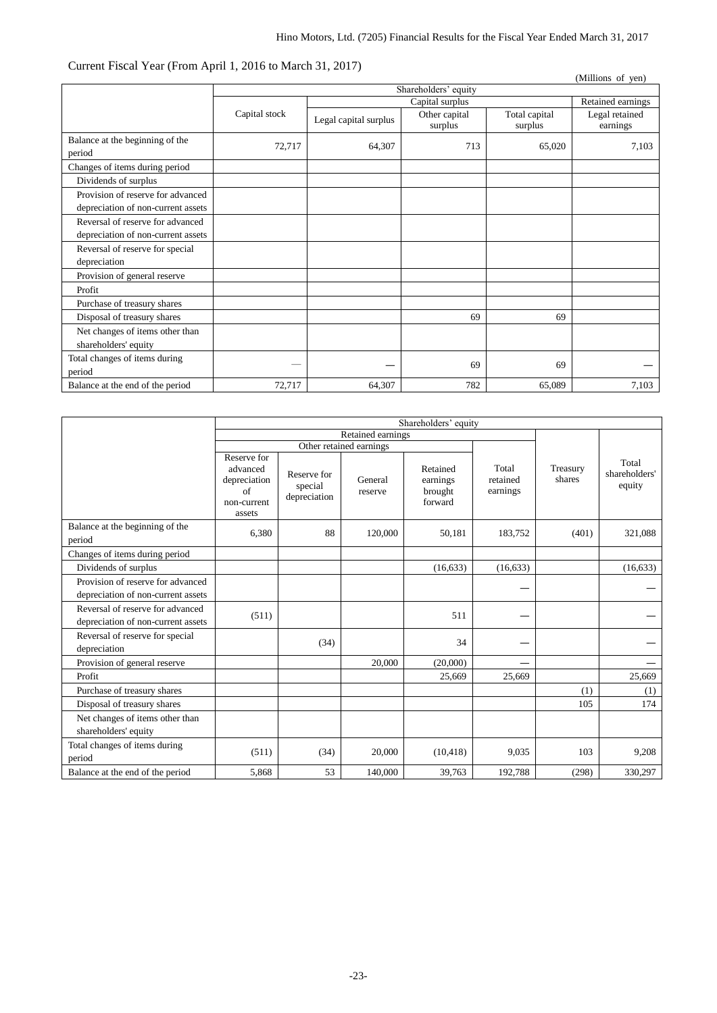### Current Fiscal Year (From April 1, 2016 to March 31, 2017)

|                                                         |               |                       |                                         |                          | (Millions of yen)          |
|---------------------------------------------------------|---------------|-----------------------|-----------------------------------------|--------------------------|----------------------------|
|                                                         |               |                       | Shareholders' equity<br>Capital surplus |                          |                            |
|                                                         |               |                       | Retained earnings                       |                          |                            |
|                                                         | Capital stock | Legal capital surplus | Other capital<br>surplus                | Total capital<br>surplus | Legal retained<br>earnings |
| Balance at the beginning of the<br>period               | 72,717        | 64,307                | 713                                     | 65,020                   | 7,103                      |
| Changes of items during period                          |               |                       |                                         |                          |                            |
| Dividends of surplus                                    |               |                       |                                         |                          |                            |
| Provision of reserve for advanced                       |               |                       |                                         |                          |                            |
| depreciation of non-current assets                      |               |                       |                                         |                          |                            |
| Reversal of reserve for advanced                        |               |                       |                                         |                          |                            |
| depreciation of non-current assets                      |               |                       |                                         |                          |                            |
| Reversal of reserve for special                         |               |                       |                                         |                          |                            |
| depreciation                                            |               |                       |                                         |                          |                            |
| Provision of general reserve                            |               |                       |                                         |                          |                            |
| Profit                                                  |               |                       |                                         |                          |                            |
| Purchase of treasury shares                             |               |                       |                                         |                          |                            |
| Disposal of treasury shares                             |               |                       | 69                                      | 69                       |                            |
| Net changes of items other than<br>shareholders' equity |               |                       |                                         |                          |                            |
| Total changes of items during<br>period                 |               |                       | 69                                      | 69                       |                            |
| Balance at the end of the period                        | 72,717        | 64,307                | 782                                     | 65,089                   | 7,103                      |

|                                                                         | Shareholders' equity                                                   |                                        |                    |                                            |                               |                    |                                  |
|-------------------------------------------------------------------------|------------------------------------------------------------------------|----------------------------------------|--------------------|--------------------------------------------|-------------------------------|--------------------|----------------------------------|
|                                                                         | Retained earnings                                                      |                                        |                    |                                            |                               |                    |                                  |
|                                                                         | Other retained earnings                                                |                                        |                    |                                            |                               |                    |                                  |
|                                                                         | Reserve for<br>advanced<br>depreciation<br>of<br>non-current<br>assets | Reserve for<br>special<br>depreciation | General<br>reserve | Retained<br>earnings<br>brought<br>forward | Total<br>retained<br>earnings | Treasury<br>shares | Total<br>shareholders'<br>equity |
| Balance at the beginning of the<br>period                               | 6,380                                                                  | 88                                     | 120,000            | 50,181                                     | 183,752                       | (401)              | 321,088                          |
| Changes of items during period                                          |                                                                        |                                        |                    |                                            |                               |                    |                                  |
| Dividends of surplus                                                    |                                                                        |                                        |                    | (16, 633)                                  | (16, 633)                     |                    | (16, 633)                        |
| Provision of reserve for advanced<br>depreciation of non-current assets |                                                                        |                                        |                    |                                            |                               |                    |                                  |
| Reversal of reserve for advanced<br>depreciation of non-current assets  | (511)                                                                  |                                        |                    | 511                                        |                               |                    |                                  |
| Reversal of reserve for special<br>depreciation                         |                                                                        | (34)                                   |                    | 34                                         |                               |                    |                                  |
| Provision of general reserve                                            |                                                                        |                                        | 20,000             | (20,000)                                   |                               |                    |                                  |
| Profit                                                                  |                                                                        |                                        |                    | 25,669                                     | 25,669                        |                    | 25,669                           |
| Purchase of treasury shares                                             |                                                                        |                                        |                    |                                            |                               | (1)                | (1)                              |
| Disposal of treasury shares                                             |                                                                        |                                        |                    |                                            |                               | 105                | 174                              |
| Net changes of items other than<br>shareholders' equity                 |                                                                        |                                        |                    |                                            |                               |                    |                                  |
| Total changes of items during<br>period                                 | (511)                                                                  | (34)                                   | 20,000             | (10, 418)                                  | 9,035                         | 103                | 9,208                            |
| Balance at the end of the period                                        | 5,868                                                                  | 53                                     | 140,000            | 39,763                                     | 192,788                       | (298)              | 330,297                          |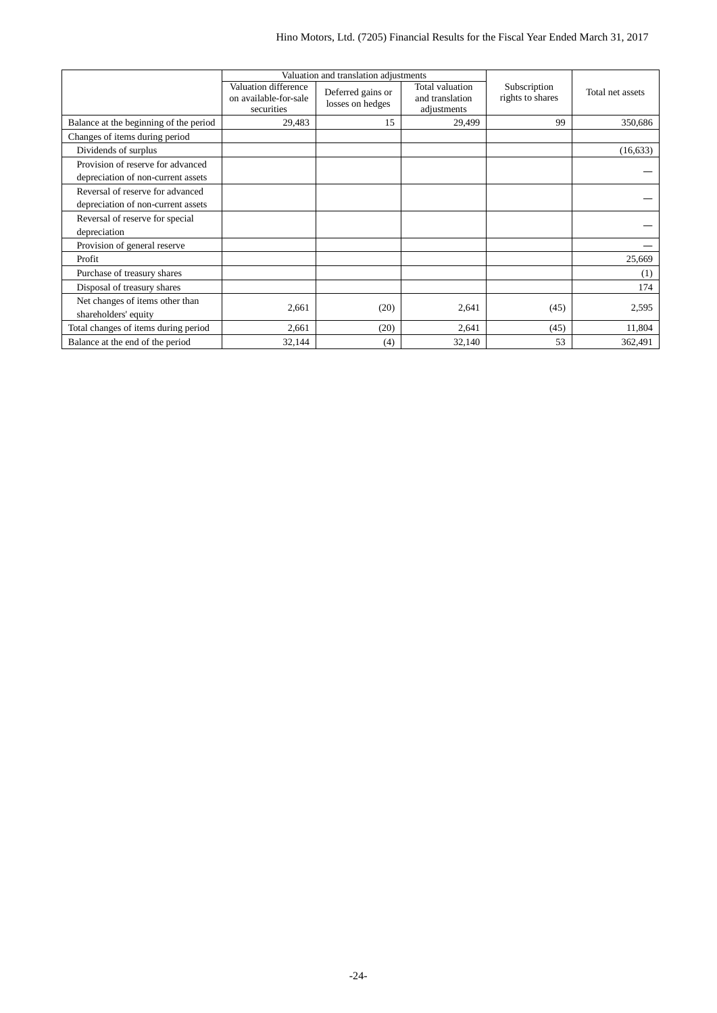|                                                                         |                                                             | Valuation and translation adjustments |                                                   |                                  |                  |
|-------------------------------------------------------------------------|-------------------------------------------------------------|---------------------------------------|---------------------------------------------------|----------------------------------|------------------|
|                                                                         | Valuation difference<br>on available-for-sale<br>securities | Deferred gains or<br>losses on hedges | Total valuation<br>and translation<br>adjustments | Subscription<br>rights to shares | Total net assets |
| Balance at the beginning of the period                                  | 29,483                                                      | 15                                    | 29,499                                            | 99                               | 350,686          |
| Changes of items during period                                          |                                                             |                                       |                                                   |                                  |                  |
| Dividends of surplus                                                    |                                                             |                                       |                                                   |                                  | (16, 633)        |
| Provision of reserve for advanced<br>depreciation of non-current assets |                                                             |                                       |                                                   |                                  |                  |
| Reversal of reserve for advanced<br>depreciation of non-current assets  |                                                             |                                       |                                                   |                                  |                  |
| Reversal of reserve for special<br>depreciation                         |                                                             |                                       |                                                   |                                  |                  |
| Provision of general reserve                                            |                                                             |                                       |                                                   |                                  |                  |
| Profit                                                                  |                                                             |                                       |                                                   |                                  | 25,669           |
| Purchase of treasury shares                                             |                                                             |                                       |                                                   |                                  | (1)              |
| Disposal of treasury shares                                             |                                                             |                                       |                                                   |                                  | 174              |
| Net changes of items other than<br>shareholders' equity                 | 2,661                                                       | (20)                                  | 2,641                                             | (45)                             | 2,595            |
| Total changes of items during period                                    | 2,661                                                       | (20)                                  | 2,641                                             | (45)                             | 11,804           |
| Balance at the end of the period                                        | 32,144                                                      | (4)                                   | 32,140                                            | 53                               | 362,491          |